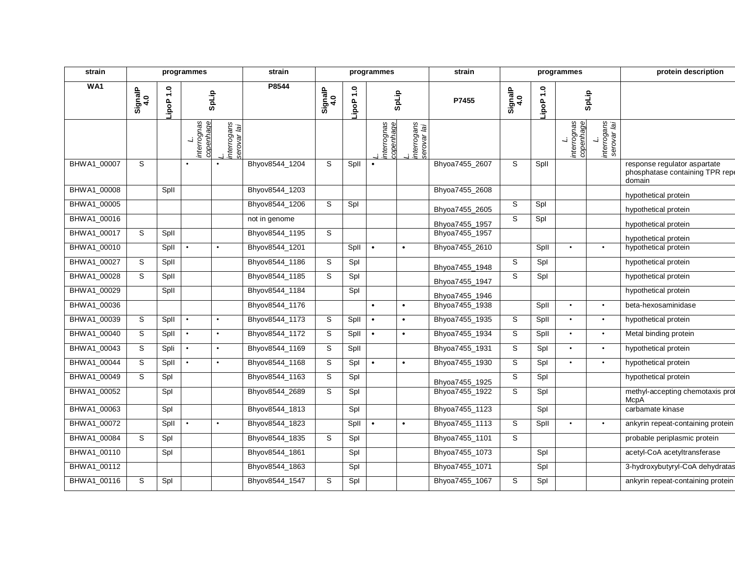| strain      |                |                       | programmes                     |                            | strain         |                |         | programmes               |                            | strain         |                |                       | programmes                     |                                  | protein description                                                       |
|-------------|----------------|-----------------------|--------------------------------|----------------------------|----------------|----------------|---------|--------------------------|----------------------------|----------------|----------------|-----------------------|--------------------------------|----------------------------------|---------------------------------------------------------------------------|
| WA1         | SignalP<br>4.0 | $\ddot{ }$ .<br>LipoP | SpLip                          |                            | P8544          | SignalP<br>4.0 | 0.1 Pop |                          | SpLip                      | P7455          | SignalP<br>4.0 | $\ddot{ }$ .<br>LipoP |                                | SpLip                            |                                                                           |
|             |                |                       | interrognas<br>copenhage<br>ند | interrogans<br>serovar lai |                |                |         | interrognas<br>copenhage | interrogans<br>serovar lai |                |                |                       | L.<br>interrognas<br>copenhage | interrogans<br>serovar lai<br>ند |                                                                           |
| BHWA1_00007 | S              |                       | $\bullet$                      |                            | Bhyov8544_1204 | S              | Spll    |                          |                            | Bhyoa7455_2607 | S              | Spll                  |                                |                                  | response regulator aspartate<br>phosphatase containing TPR repe<br>domain |
| BHWA1_00008 |                | Spll                  |                                |                            | Bhyov8544_1203 |                |         |                          |                            | Bhyoa7455_2608 |                |                       |                                |                                  | hypothetical protein                                                      |
| BHWA1_00005 |                |                       |                                |                            | Bhyov8544_1206 | S              | Spl     |                          |                            | Bhyoa7455_2605 | S              | Spl                   |                                |                                  | hypothetical protein                                                      |
| BHWA1_00016 |                |                       |                                |                            | not in genome  |                |         |                          |                            | Bhyoa7455_1957 | S              | Spl                   |                                |                                  | hypothetical protein                                                      |
| BHWA1_00017 | S              | Spll                  |                                |                            | Bhyov8544_1195 | S              |         |                          |                            | Bhyoa7455_1957 |                |                       |                                |                                  | hypothetical protein                                                      |
| BHWA1_00010 |                | Spll                  | $\bullet$                      | $\bullet$                  | Bhyov8544_1201 |                | Spll    | $\bullet$                | $\bullet$                  | Bhyoa7455_2610 |                | Spll                  | $\bullet$                      | $\bullet$                        | hypothetical protein                                                      |
| BHWA1_00027 | S              | Spll                  |                                |                            | Bhyov8544_1186 | S              | Spl     |                          |                            | Bhyoa7455_1948 | S              | Spl                   |                                |                                  | hypothetical protein                                                      |
| BHWA1_00028 | S              | Spll                  |                                |                            | Bhyov8544_1185 | S              | Spl     |                          |                            | Bhyoa7455_1947 | S              | Spl                   |                                |                                  | hypothetical protein                                                      |
| BHWA1_00029 |                | Spll                  |                                |                            | Bhyov8544_1184 |                | Spl     |                          |                            | Bhyoa7455_1946 |                |                       |                                |                                  | hypothetical protein                                                      |
| BHWA1_00036 |                |                       |                                |                            | Bhyov8544_1176 |                |         | $\bullet$                | $\bullet$                  | Bhyoa7455_1938 |                | Spll                  | $\bullet$                      | $\bullet$                        | beta-hexosaminidase                                                       |
| BHWA1_00039 | S              | Spll                  | $\bullet$                      | $\bullet$                  | Bhyov8544_1173 | S              | Spll    |                          | $\bullet$                  | Bhyoa7455_1935 | S              | Spll                  | $\bullet$                      | $\bullet$                        | hypothetical protein                                                      |
| BHWA1_00040 | S              | Spll                  | $\bullet$                      | $\bullet$                  | Bhyov8544_1172 | S              | Spll    | $\bullet$                | $\bullet$                  | Bhyoa7455_1934 | S              | Spll                  | $\bullet$                      | $\bullet$                        | Metal binding protein                                                     |
| BHWA1_00043 | $\overline{s}$ | Spli                  | $\bullet$                      | ٠                          | Bhyov8544_1169 | S              | Spll    |                          |                            | Bhyoa7455_1931 | S              | Spl                   | $\bullet$                      | $\bullet$                        | hypothetical protein                                                      |
| BHWA1_00044 | S              | Spll                  | $\bullet$                      | $\bullet$                  | Bhyov8544_1168 | S              | Spl     | $\bullet$                | $\bullet$                  | Bhyoa7455_1930 | S              | Spl                   | $\bullet$                      | $\bullet$                        | hypothetical protein                                                      |
| BHWA1_00049 | S              | Spl                   |                                |                            | Bhyov8544_1163 | S              | Spl     |                          |                            | Bhyoa7455_1925 | S              | Spl                   |                                |                                  | hypothetical protein                                                      |
| BHWA1_00052 |                | Spl                   |                                |                            | Bhyov8544_2689 | S              | Spl     |                          |                            | Bhyoa7455_1922 | S              | Spl                   |                                |                                  | methyl-accepting chemotaxis prot<br>McpA                                  |
| BHWA1_00063 |                | Spl                   |                                |                            | Bhyov8544_1813 |                | Spl     |                          |                            | Bhyoa7455_1123 |                | Spl                   |                                |                                  | carbamate kinase                                                          |
| BHWA1_00072 |                | Spll                  | $\bullet$                      |                            | Bhyov8544_1823 |                | Spll    | $\bullet$                | $\bullet$                  | Bhyoa7455_1113 | S              | Spll                  | $\bullet$                      | $\bullet$                        | ankyrin repeat-containing protein                                         |
| BHWA1_00084 | S              | Spl                   |                                |                            | Bhyov8544_1835 | S              | Spl     |                          |                            | Bhyoa7455_1101 | S              |                       |                                |                                  | probable periplasmic protein                                              |
| BHWA1_00110 |                | Spl                   |                                |                            | Bhyov8544_1861 |                | Spl     |                          |                            | Bhyoa7455_1073 |                | Spl                   |                                |                                  | acetyl-CoA acetyltransferase                                              |
| BHWA1_00112 |                |                       |                                |                            | Bhyov8544_1863 |                | Spl     |                          |                            | Bhyoa7455_1071 |                | Spl                   |                                |                                  | 3-hydroxybutyryl-CoA dehydratas                                           |
| BHWA1_00116 | S              | Spl                   |                                |                            | Bhyov8544_1547 | S              | Spl     |                          |                            | Bhyoa7455_1067 | S              | Spl                   |                                |                                  | ankyrin repeat-containing protein                                         |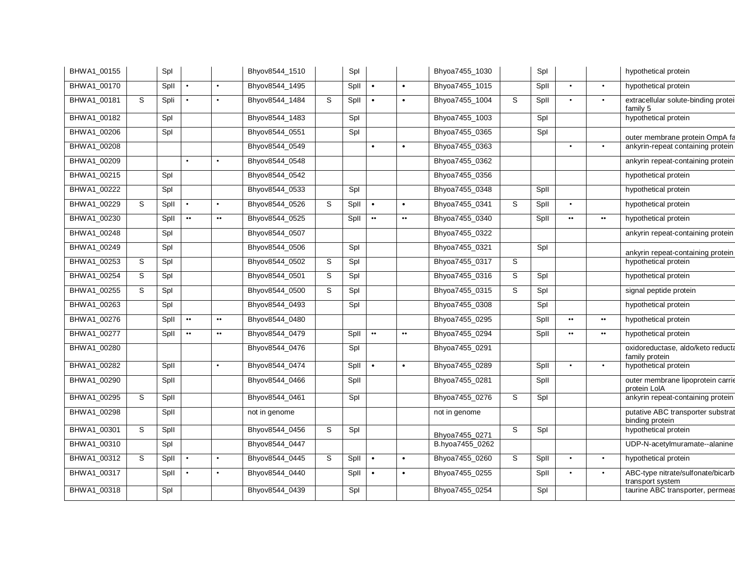| BHWA1_00155 |   | Spl  |                  |                  | Bhyov8544_1510 |   | Spl  |                  |                  | Bhyoa7455_1030  |   | Spl  |                  |                  | hypothetical protein                                  |
|-------------|---|------|------------------|------------------|----------------|---|------|------------------|------------------|-----------------|---|------|------------------|------------------|-------------------------------------------------------|
| BHWA1_00170 |   | Spll | $\bullet$        | $\bullet$        | Bhyov8544_1495 |   | Spll | $\bullet$        | $\bullet$        | Bhyoa7455_1015  |   | Spll | $\bullet$        | $\bullet$        | hypothetical protein                                  |
| BHWA1_00181 | S | Spli |                  |                  | Bhyov8544_1484 | S | Spll |                  |                  | Bhyoa7455_1004  | S | Spll |                  | $\bullet$        | extracellular solute-binding proteil<br>family 5      |
| BHWA1_00182 |   | Spl  |                  |                  | Bhyov8544_1483 |   | Spl  |                  |                  | Bhyoa7455_1003  |   | Spl  |                  |                  | hypothetical protein                                  |
| BHWA1_00206 |   | Spl  |                  |                  | Bhyov8544_0551 |   | Spl  |                  |                  | Bhyoa7455_0365  |   | Spl  |                  |                  | outer membrane protein OmpA fa                        |
| BHWA1_00208 |   |      |                  |                  | Bhyov8544_0549 |   |      | $\bullet$        |                  | Bhyoa7455_0363  |   |      | $\bullet$        | $\bullet$        | ankyrin-repeat containing protein                     |
| BHWA1_00209 |   |      | $\bullet$        | $\bullet$        | Bhyov8544_0548 |   |      |                  |                  | Bhyoa7455_0362  |   |      |                  |                  | ankyrin repeat-containing protein                     |
| BHWA1_00215 |   | Spl  |                  |                  | Bhyov8544_0542 |   |      |                  |                  | Bhyoa7455_0356  |   |      |                  |                  | hypothetical protein                                  |
| BHWA1_00222 |   | Spl  |                  |                  | Bhyov8544_0533 |   | Spl  |                  |                  | Bhyoa7455_0348  |   | Spll |                  |                  | hypothetical protein                                  |
| BHWA1_00229 | S | Spll | $\bullet$        | $\bullet$        | Bhyov8544_0526 | S | Spll | $\bullet$        | $\bullet$        | Bhyoa7455_0341  | S | Spll | $\bullet$        |                  | hypothetical protein                                  |
| BHWA1_00230 |   | Spll | $\bullet\bullet$ | $\bullet\bullet$ | Bhyov8544_0525 |   | Spll | $\bullet\bullet$ | $\bullet\bullet$ | Bhyoa7455_0340  |   | Spll | $\bullet\bullet$ | $\bullet\bullet$ | hypothetical protein                                  |
| BHWA1_00248 |   | Spl  |                  |                  | Bhyov8544_0507 |   |      |                  |                  | Bhyoa7455_0322  |   |      |                  |                  | ankyrin repeat-containing protein                     |
| BHWA1_00249 |   | Spl  |                  |                  | Bhyov8544_0506 |   | Spl  |                  |                  | Bhyoa7455_0321  |   | Spl  |                  |                  | ankyrin repeat-containing protein                     |
| BHWA1_00253 | S | Spl  |                  |                  | Bhyov8544_0502 | S | Spl  |                  |                  | Bhyoa7455_0317  | S |      |                  |                  | hypothetical protein                                  |
| BHWA1_00254 | S | Spl  |                  |                  | Bhyov8544_0501 | S | Spl  |                  |                  | Bhyoa7455_0316  | S | Spl  |                  |                  | hypothetical protein                                  |
| BHWA1_00255 | S | Spl  |                  |                  | Bhyov8544_0500 | S | Spl  |                  |                  | Bhyoa7455_0315  | S | Spl  |                  |                  | signal peptide protein                                |
| BHWA1_00263 |   | Spl  |                  |                  | Bhyov8544_0493 |   | Spl  |                  |                  | Bhyoa7455_0308  |   | Spl  |                  |                  | hypothetical protein                                  |
| BHWA1_00276 |   | Spll | $\bullet\bullet$ | $\bullet\bullet$ | Bhyov8544_0480 |   |      |                  |                  | Bhyoa7455_0295  |   | Spll | $\bullet\bullet$ | $\bullet\bullet$ | hypothetical protein                                  |
| BHWA1_00277 |   | Spll | $\bullet\bullet$ | $\bullet\bullet$ | Bhyov8544_0479 |   | Spll | $\bullet\bullet$ | $\bullet\bullet$ | Bhyoa7455_0294  |   | Spll | $\bullet\bullet$ | $\bullet\bullet$ | hypothetical protein                                  |
| BHWA1_00280 |   |      |                  |                  | Bhyov8544_0476 |   | Spl  |                  |                  | Bhyoa7455_0291  |   |      |                  |                  | oxidoreductase, aldo/keto reducta<br>family protein   |
| BHWA1_00282 |   | Spll |                  | $\bullet$        | Bhyov8544_0474 |   | Spll | $\bullet$        | $\bullet$        | Bhyoa7455_0289  |   | Spll | $\bullet$        | $\bullet$        | hypothetical protein                                  |
| BHWA1_00290 |   | Spll |                  |                  | Bhyov8544_0466 |   | Spll |                  |                  | Bhyoa7455_0281  |   | Spll |                  |                  | outer membrane lipoprotein carrie<br>protein LolA     |
| BHWA1_00295 | S | Spll |                  |                  | Bhyov8544_0461 |   | Spl  |                  |                  | Bhyoa7455_0276  | S | Spl  |                  |                  | ankyrin repeat-containing protein                     |
| BHWA1_00298 |   | Spll |                  |                  | not in genome  |   |      |                  |                  | not in genome   |   |      |                  |                  | putative ABC transporter substrat<br>binding protein  |
| BHWA1_00301 | S | Spll |                  |                  | Bhyov8544_0456 | S | Spl  |                  |                  | Bhyoa7455_0271  | S | Spl  |                  |                  | hypothetical protein                                  |
| BHWA1_00310 |   | Spl  |                  |                  | Bhyov8544_0447 |   |      |                  |                  | B.hyoa7455_0262 |   |      |                  |                  | UDP-N-acetylmuramate--alanine                         |
| BHWA1_00312 | S | Spll |                  | $\bullet$        | Bhyov8544_0445 | S | Spll | $\bullet$        | $\bullet$        | Bhyoa7455_0260  | S | Spll | $\bullet$        | $\bullet$        | hypothetical protein                                  |
| BHWA1_00317 |   | Spll |                  | $\bullet$        | Bhyov8544_0440 |   | Spll |                  |                  | Bhyoa7455_0255  |   | Spll | $\bullet$        |                  | ABC-type nitrate/sulfonate/bicarb<br>transport system |
| BHWA1_00318 |   | Spl  |                  |                  | Bhyov8544_0439 |   | Spl  |                  |                  | Bhyoa7455_0254  |   | Spl  |                  |                  | taurine ABC transporter, permeas                      |
|             |   |      |                  |                  |                |   |      |                  |                  |                 |   |      |                  |                  |                                                       |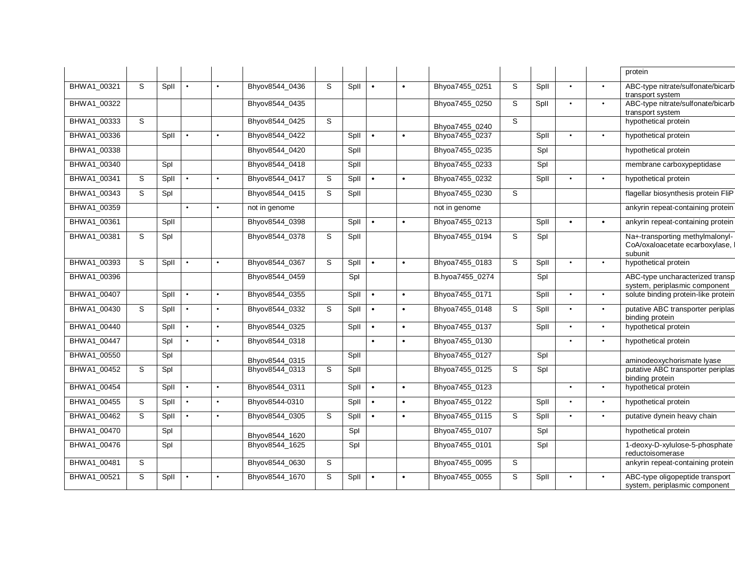|             |   |      |           |                |   |      |           |           |                 |   |      |           |           | protein                                                                      |
|-------------|---|------|-----------|----------------|---|------|-----------|-----------|-----------------|---|------|-----------|-----------|------------------------------------------------------------------------------|
| BHWA1 00321 | S | Spll |           | Bhyov8544_0436 | S | Spll |           | $\bullet$ | Bhyoa7455_0251  | S | Spll | $\bullet$ | $\bullet$ | ABC-type nitrate/sulfonate/bicarb<br>transport system                        |
| BHWA1_00322 |   |      |           | Bhyov8544_0435 |   |      |           |           | Bhyoa7455_0250  | S | Spll | $\bullet$ | $\bullet$ | ABC-type nitrate/sulfonate/bicarb<br>transport system                        |
| BHWA1_00333 | s |      |           | Bhyov8544_0425 | S |      |           |           | Bhyoa7455 0240  | S |      |           |           | hypothetical protein                                                         |
| BHWA1_00336 |   | Spll |           | Bhyov8544_0422 |   | Spll | $\bullet$ | $\bullet$ | Bhyoa7455_0237  |   | Spll | $\bullet$ | $\bullet$ | hypothetical protein                                                         |
| BHWA1_00338 |   |      |           | Bhyov8544_0420 |   | Spll |           |           | Bhyoa7455_0235  |   | Spl  |           |           | hypothetical protein                                                         |
| BHWA1 00340 |   | Spl  |           | Bhyov8544 0418 |   | Spll |           |           | Bhyoa7455_0233  |   | Spl  |           |           | membrane carboxypeptidase                                                    |
| BHWA1_00341 | S | Spll |           | Bhyov8544_0417 | S | Spll | $\bullet$ | $\bullet$ | Bhyoa7455_0232  |   | Spll | $\bullet$ | $\bullet$ | hypothetical protein                                                         |
| BHWA1 00343 | S | Spl  |           | Bhyov8544 0415 | S | Spll |           |           | Bhyoa7455_0230  | S |      |           |           | flagellar biosynthesis protein FliP                                          |
| BHWA1_00359 |   |      | $\bullet$ | not in genome  |   |      |           |           | not in genome   |   |      |           |           | ankyrin repeat-containing protein                                            |
| BHWA1_00361 |   | Spll |           | Bhyov8544_0398 |   | Spll | $\bullet$ | $\bullet$ | Bhyoa7455_0213  |   | Spll | $\bullet$ | $\bullet$ | ankyrin repeat-containing protein                                            |
| BHWA1_00381 | S | Spl  |           | Bhyov8544_0378 | S | Spll |           |           | Bhyoa7455_0194  | S | Spl  |           |           | Na+-transporting methylmalonyl-<br>CoA/oxaloacetate ecarboxylase,<br>subunit |
| BHWA1_00393 | S | Spll |           | Bhyov8544_0367 | S | Spll | $\bullet$ | $\bullet$ | Bhyoa7455_0183  | S | Spll | $\bullet$ | $\bullet$ | hypothetical protein                                                         |
| BHWA1_00396 |   |      |           | Bhyov8544_0459 |   | Spl  |           |           | B.hyoa7455_0274 |   | Spl  |           |           | ABC-type uncharacterized transp<br>system, periplasmic component             |
| BHWA1_00407 |   | Spll |           | Bhyov8544_0355 |   | Spll |           | $\bullet$ | Bhyoa7455_0171  |   | Spll | $\bullet$ | $\bullet$ | solute binding protein-like protein                                          |
| BHWA1 00430 | S | Spll |           | Bhyov8544_0332 | S | Spll | $\bullet$ | $\bullet$ | Bhyoa7455_0148  | S | Spll | $\bullet$ | $\bullet$ | putative ABC transporter periplas<br>binding protein                         |
| BHWA1 00440 |   | Spll |           | Bhyov8544 0325 |   | Spll | $\bullet$ | $\bullet$ | Bhyoa7455_0137  |   | Spll | $\bullet$ | $\bullet$ | hypothetical protein                                                         |
| BHWA1 00447 |   | Spl  |           | Bhyov8544_0318 |   |      | $\bullet$ | $\bullet$ | Bhyoa7455_0130  |   |      | $\bullet$ | $\bullet$ | hypothetical protein                                                         |
| BHWA1_00550 |   | Spl  |           | Bhyov8544_0315 |   | Spll |           |           | Bhyoa7455_0127  |   | Spl  |           |           | aminodeoxychorismate lyase                                                   |
| BHWA1_00452 | S | Spl  |           | Bhyov8544_0313 | S | Spll |           |           | Bhyoa7455_0125  | S | Spl  |           |           | putative ABC transporter periplas<br>binding protein                         |
| BHWA1_00454 |   | Spll |           | Bhyov8544_0311 |   | Spll |           | $\bullet$ | Bhyoa7455_0123  |   |      | $\bullet$ | $\bullet$ | hypothetical protein                                                         |
| BHWA1_00455 | S | Spll |           | Bhyov8544-0310 |   | Spll | $\bullet$ | $\bullet$ | Bhyoa7455_0122  |   | Spll | $\bullet$ | $\bullet$ | hypothetical protein                                                         |
| BHWA1 00462 | S | Spll |           | Bhyov8544_0305 | S | Spll | $\bullet$ | $\bullet$ | Bhyoa7455_0115  | S | Spll | $\bullet$ | $\bullet$ | putative dynein heavy chain                                                  |
| BHWA1_00470 |   | Spl  |           | Bhyov8544_1620 |   | Spl  |           |           | Bhyoa7455_0107  |   | Spl  |           |           | hypothetical protein                                                         |
| BHWA1_00476 |   | Spl  |           | Bhyov8544_1625 |   | Spl  |           |           | Bhyoa7455_0101  |   | Spl  |           |           | 1-deoxy-D-xylulose-5-phosphate<br>reductoisomerase                           |
| BHWA1_00481 | S |      |           | Bhyov8544_0630 | S |      |           |           | Bhyoa7455_0095  | S |      |           |           | ankyrin repeat-containing protein                                            |
| BHWA1_00521 | S | Spll |           | Bhyov8544_1670 | S | Spll |           |           | Bhyoa7455_0055  | S | Spll | $\bullet$ | $\bullet$ | ABC-type oligopeptide transport<br>system, periplasmic component             |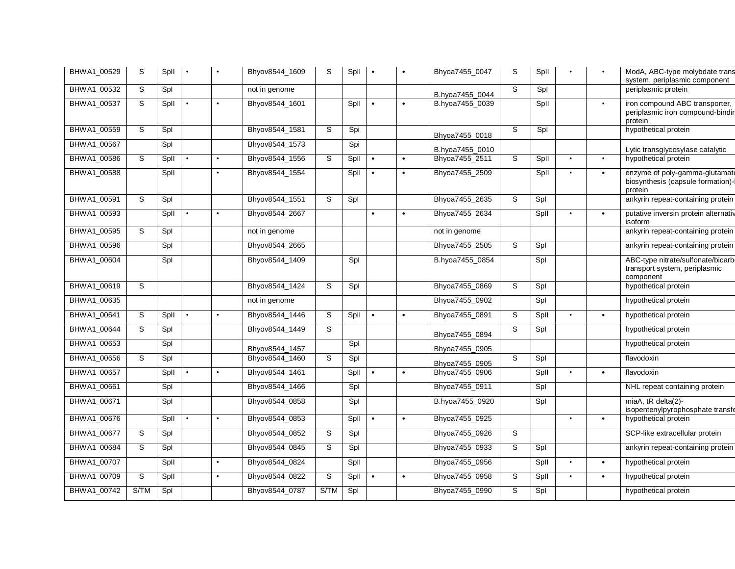| BHWA1_00529 | S           | Spll | $\bullet$ | $\bullet$ | Bhyov8544_1609 | S    | Spll |           |           | Bhyoa7455_0047  | S | Spll |           |           | ModA, ABC-type molybdate trans<br>system, periplasmic component                 |
|-------------|-------------|------|-----------|-----------|----------------|------|------|-----------|-----------|-----------------|---|------|-----------|-----------|---------------------------------------------------------------------------------|
| BHWA1_00532 | S           | Spl  |           |           | not in genome  |      |      |           |           | B.hyoa7455_0044 | S | Spl  |           |           | periplasmic protein                                                             |
| BHWA1_00537 | $\mathbb S$ | Spll |           |           | Bhyov8544_1601 |      | Spll | $\bullet$ |           | B.hyoa7455_0039 |   | Spll |           | $\bullet$ | iron compound ABC transporter,<br>periplasmic iron compound-bindir<br>protein   |
| BHWA1_00559 | S           | Spl  |           |           | Bhyov8544_1581 | S    | Spi  |           |           | Bhyoa7455_0018  | S | Spl  |           |           | hypothetical protein                                                            |
| BHWA1_00567 |             | Spl  |           |           | Bhyov8544_1573 |      | Spi  |           |           | B.hyoa7455_0010 |   |      |           |           | Lytic transglycosylase catalytic                                                |
| BHWA1_00586 | S           | Spll |           | $\bullet$ | Bhyov8544_1556 | S    | Spll | $\bullet$ |           | Bhyoa7455_2511  | S | Spll | $\bullet$ | $\bullet$ | hypothetical protein                                                            |
| BHWA1_00588 |             | Spll |           |           | Bhyov8544_1554 |      | Spll |           |           | Bhyoa7455_2509  |   | Spll |           | $\bullet$ | enzyme of poly-gamma-glutamate<br>biosynthesis (capsule formation)-<br>protein  |
| BHWA1_00591 | S           | Spl  |           |           | Bhyov8544_1551 | S    | Spl  |           |           | Bhyoa7455_2635  | S | Spl  |           |           | ankyrin repeat-containing protein                                               |
| BHWA1_00593 |             | Spll | $\bullet$ |           | Bhyov8544_2667 |      |      | $\bullet$ |           | Bhyoa7455_2634  |   | Spll | $\bullet$ | $\bullet$ | putative inversin protein alternativ<br>isoform                                 |
| BHWA1_00595 | S           | Spl  |           |           | not in genome  |      |      |           |           | not in genome   |   |      |           |           | ankyrin repeat-containing protein                                               |
| BHWA1_00596 |             | Spl  |           |           | Bhyov8544_2665 |      |      |           |           | Bhyoa7455_2505  | S | Spl  |           |           | ankyrin repeat-containing protein                                               |
| BHWA1_00604 |             | Spl  |           |           | Bhyov8544_1409 |      | Spl  |           |           | B.hyoa7455_0854 |   | Spl  |           |           | ABC-type nitrate/sulfonate/bicarb<br>transport system, periplasmic<br>component |
| BHWA1_00619 | S           |      |           |           | Bhyov8544_1424 | S    | Spl  |           |           | Bhyoa7455_0869  | S | Spl  |           |           | hypothetical protein                                                            |
| BHWA1_00635 |             |      |           |           | not in genome  |      |      |           |           | Bhyoa7455_0902  |   | Spl  |           |           | hypothetical protein                                                            |
| BHWA1_00641 | S           | Spll | $\bullet$ |           | Bhyov8544_1446 | S    | Spll | $\bullet$ | $\bullet$ | Bhyoa7455_0891  | S | Spll |           | $\bullet$ | hypothetical protein                                                            |
| BHWA1_00644 | S           | Spl  |           |           | Bhyov8544_1449 | S    |      |           |           | Bhyoa7455_0894  | S | Spl  |           |           | hypothetical protein                                                            |
| BHWA1_00653 |             | Spl  |           |           | Bhyov8544_1457 |      | Spl  |           |           | Bhyoa7455_0905  |   |      |           |           | hypothetical protein                                                            |
| BHWA1_00656 | S           | Spl  |           |           | Bhyov8544_1460 | S    | Spl  |           |           | Bhyoa7455_0905  | S | Spl  |           |           | flavodoxin                                                                      |
| BHWA1_00657 |             | Spll |           |           | Bhyov8544_1461 |      | Spll |           |           | Bhyoa7455_0906  |   | Spll | $\bullet$ | $\bullet$ | flavodoxin                                                                      |
| BHWA1_00661 |             | Spl  |           |           | Bhyov8544_1466 |      | Spl  |           |           | Bhyoa7455_0911  |   | Spl  |           |           | NHL repeat containing protein                                                   |
| BHWA1_00671 |             | Spl  |           |           | Bhyov8544_0858 |      | Spl  |           |           | B.hyoa7455_0920 |   | Spl  |           |           | miaA, tR delta(2)-<br>isopentenylpyrophosphate transfe                          |
| BHWA1 00676 |             | Spll |           |           | Bhyov8544_0853 |      | Spll |           |           | Bhyoa7455_0925  |   |      |           | $\bullet$ | hypothetical protein                                                            |
| BHWA1_00677 | S           | Spl  |           |           | Bhyov8544_0852 | S    | Spl  |           |           | Bhyoa7455_0926  | S |      |           |           | SCP-like extracellular protein                                                  |
| BHWA1_00684 | S           | Spl  |           |           | Bhyov8544_0845 | S    | Spl  |           |           | Bhyoa7455_0933  | S | Spl  |           |           | ankyrin repeat-containing protein                                               |
| BHWA1_00707 |             | Spll |           | $\bullet$ | Bhyov8544_0824 |      | Spll |           |           | Bhyoa7455_0956  |   | Spll | $\bullet$ | $\bullet$ | hypothetical protein                                                            |
| BHWA1_00709 | S           | Spll |           | $\bullet$ | Bhyov8544_0822 | S    | Spll |           |           | Bhyoa7455_0958  | S | Spll | $\bullet$ | $\bullet$ | hypothetical protein                                                            |
| BHWA1_00742 | S/TM        | Spl  |           |           | Bhyov8544_0787 | S/TM | Spl  |           |           | Bhyoa7455_0990  | S | Spl  |           |           | hypothetical protein                                                            |
|             |             |      |           |           |                |      |      |           |           |                 |   |      |           |           |                                                                                 |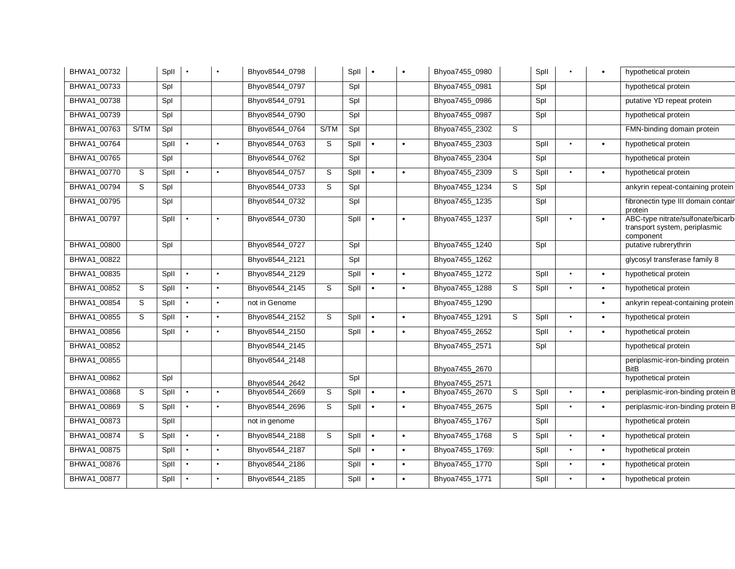| BHWA1_00732 |             | Spll | $\bullet$ | $\bullet$ | Bhyov8544_0798 |      | Spll | $\bullet$ | $\bullet$ | Bhyoa7455_0980  |   | Spll |           | $\bullet$ | hypothetical protein                                                            |
|-------------|-------------|------|-----------|-----------|----------------|------|------|-----------|-----------|-----------------|---|------|-----------|-----------|---------------------------------------------------------------------------------|
| BHWA1 00733 |             | Spl  |           |           | Bhyov8544_0797 |      | Spl  |           |           | Bhyoa7455_0981  |   | Spl  |           |           | hypothetical protein                                                            |
| BHWA1_00738 |             | Spl  |           |           | Bhyov8544_0791 |      | Spl  |           |           | Bhyoa7455_0986  |   | Spl  |           |           | putative YD repeat protein                                                      |
| BHWA1_00739 |             | Spl  |           |           | Bhyov8544_0790 |      | Spl  |           |           | Bhyoa7455_0987  |   | Spl  |           |           | hypothetical protein                                                            |
| BHWA1_00763 | S/TM        | Spl  |           |           | Bhyov8544_0764 | S/TM | Spl  |           |           | Bhyoa7455_2302  | S |      |           |           | FMN-binding domain protein                                                      |
| BHWA1_00764 |             | Spll |           | $\bullet$ | Bhyov8544_0763 | S    | Spll | $\bullet$ |           | Bhyoa7455_2303  |   | Spll | $\bullet$ | $\bullet$ | hypothetical protein                                                            |
| BHWA1_00765 |             | Spl  |           |           | Bhyov8544_0762 |      | Spl  |           |           | Bhyoa7455_2304  |   | Spl  |           |           | hypothetical protein                                                            |
| BHWA1_00770 | S           | Spll | $\bullet$ | $\bullet$ | Bhyov8544_0757 | S    | Spll | $\bullet$ | $\bullet$ | Bhyoa7455_2309  | S | Spll | $\bullet$ | $\bullet$ | hypothetical protein                                                            |
| BHWA1_00794 | S           | Spl  |           |           | Bhyov8544_0733 | S    | Spl  |           |           | Bhyoa7455_1234  | S | Spl  |           |           | ankyrin repeat-containing protein                                               |
| BHWA1_00795 |             | Spl  |           |           | Bhyov8544_0732 |      | Spl  |           |           | Bhyoa7455_1235  |   | Spl  |           |           | fibronectin type III domain contain<br>protein                                  |
| BHWA1_00797 |             | Spll | $\bullet$ | $\bullet$ | Bhyov8544_0730 |      | Spll | $\bullet$ | $\bullet$ | Bhyoa7455_1237  |   | Spll | $\bullet$ | $\bullet$ | ABC-type nitrate/sulfonate/bicarb<br>transport system, periplasmic<br>component |
| BHWA1_00800 |             | Spl  |           |           | Bhyov8544_0727 |      | Spl  |           |           | Bhyoa7455_1240  |   | Spl  |           |           | putative rubrerythrin                                                           |
| BHWA1_00822 |             |      |           |           | Bhyov8544_2121 |      | Spl  |           |           | Bhyoa7455_1262  |   |      |           |           | glycosyl transferase family 8                                                   |
| BHWA1_00835 |             | Spll | $\bullet$ | $\bullet$ | Bhyov8544_2129 |      | Spll | $\bullet$ | $\bullet$ | Bhyoa7455_1272  |   | Spll | $\bullet$ | $\bullet$ | hypothetical protein                                                            |
| BHWA1_00852 | S           | Spll | $\bullet$ | $\bullet$ | Bhyov8544_2145 | S    | Spll | $\bullet$ | $\bullet$ | Bhyoa7455_1288  | S | Spll | $\bullet$ | $\bullet$ | hypothetical protein                                                            |
| BHWA1_00854 | S           | Spll | $\bullet$ | $\bullet$ | not in Genome  |      |      |           |           | Bhyoa7455_1290  |   |      |           | $\bullet$ | ankyrin repeat-containing protein                                               |
| BHWA1_00855 | $\mathsf S$ | Spll | $\bullet$ | $\bullet$ | Bhyov8544_2152 | S    | Spll | $\bullet$ | $\bullet$ | Bhyoa7455_1291  | S | Spll |           | $\bullet$ | hypothetical protein                                                            |
| BHWA1_00856 |             | Spll | $\bullet$ | $\bullet$ | Bhyov8544_2150 |      | Spll | $\bullet$ | $\bullet$ | Bhyoa7455_2652  |   | Spll | $\bullet$ | $\bullet$ | hypothetical protein                                                            |
| BHWA1_00852 |             |      |           |           | Bhyov8544_2145 |      |      |           |           | Bhyoa7455_2571  |   | Spl  |           |           | hypothetical protein                                                            |
| BHWA1_00855 |             |      |           |           | Bhyov8544_2148 |      |      |           |           | Bhyoa7455_2670  |   |      |           |           | periplasmic-iron-binding protein<br><b>BitB</b>                                 |
| BHWA1_00862 |             | Spl  |           |           | Bhyov8544_2642 |      | Spl  |           |           | Bhyoa7455_2571  |   |      |           |           | hypothetical protein                                                            |
| BHWA1_00868 | S           | Spll | $\bullet$ | $\bullet$ | Bhyov8544_2669 | S    | Spll | $\bullet$ | $\bullet$ | Bhyoa7455_2670  | S | Spll | $\bullet$ | $\bullet$ | periplasmic-iron-binding protein B                                              |
| BHWA1_00869 | S           | Spll | $\bullet$ | $\bullet$ | Bhyov8544_2696 | S    | Spll | $\bullet$ | $\bullet$ | Bhyoa7455_2675  |   | Spll | $\bullet$ | $\bullet$ | periplasmic-iron-binding protein B                                              |
| BHWA1_00873 |             | Spll |           |           | not in genome  |      |      |           |           | Bhyoa7455_1767  |   | Spll |           |           | hypothetical protein                                                            |
| BHWA1_00874 | S           | Spll | $\bullet$ | $\bullet$ | Bhyov8544_2188 | S    | Spll | $\bullet$ | $\bullet$ | Bhyoa7455_1768  | S | Spll | $\bullet$ | $\bullet$ | hypothetical protein                                                            |
| BHWA1_00875 |             | Spll | $\bullet$ | $\bullet$ | Bhyov8544_2187 |      | Spll | $\bullet$ | $\bullet$ | Bhyoa7455_1769: |   | Spll | $\bullet$ | $\bullet$ | hypothetical protein                                                            |
| BHWA1_00876 |             | Spll | $\bullet$ | $\bullet$ | Bhyov8544_2186 |      | Spll | $\bullet$ | $\bullet$ | Bhyoa7455_1770  |   | Spll | $\bullet$ | $\bullet$ | hypothetical protein                                                            |
| BHWA1_00877 |             | Spll | $\bullet$ | $\bullet$ | Bhyov8544_2185 |      | Spll | $\bullet$ |           | Bhyoa7455_1771  |   | Spll | $\bullet$ | $\bullet$ | hypothetical protein                                                            |
|             |             |      |           |           |                |      |      |           |           |                 |   |      |           |           |                                                                                 |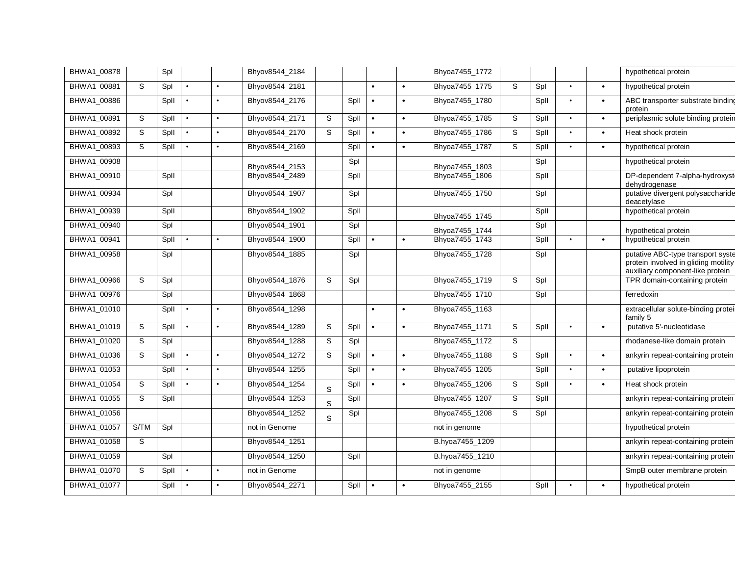| BHWA1_00878 |      | Spl  |           |           | Bhyov8544_2184 |             |      |           |           | Bhyoa7455_1772  |   |      |           |           | hypothetical protein                                                                                          |
|-------------|------|------|-----------|-----------|----------------|-------------|------|-----------|-----------|-----------------|---|------|-----------|-----------|---------------------------------------------------------------------------------------------------------------|
| BHWA1 00881 | S    | Spl  |           | $\bullet$ | Bhyov8544_2181 |             |      | $\bullet$ | $\bullet$ | Bhyoa7455_1775  | S | Spl  | $\bullet$ | $\bullet$ | hypothetical protein                                                                                          |
| BHWA1_00886 |      | Spll |           |           | Bhyov8544_2176 |             | Spll | $\bullet$ | $\bullet$ | Bhyoa7455_1780  |   | Spll | $\bullet$ | $\bullet$ | ABC transporter substrate binding<br>protein                                                                  |
| BHWA1_00891 | S    | Spll | $\bullet$ | $\bullet$ | Bhyov8544_2171 | S           | Spll | $\bullet$ | $\bullet$ | Bhyoa7455_1785  | S | Spll | $\bullet$ | $\bullet$ | periplasmic solute binding protein                                                                            |
| BHWA1_00892 | S    | Spll | $\bullet$ | $\bullet$ | Bhyov8544_2170 | $\mathbb S$ | Spll | $\bullet$ | $\bullet$ | Bhyoa7455_1786  | S | Spll | $\bullet$ | $\bullet$ | Heat shock protein                                                                                            |
| BHWA1_00893 | S    | Spll | $\bullet$ | $\bullet$ | Bhyov8544_2169 |             | Spll | $\bullet$ | $\bullet$ | Bhyoa7455_1787  | S | Spll | $\bullet$ | $\bullet$ | hypothetical protein                                                                                          |
| BHWA1_00908 |      |      |           |           | Bhyov8544_2153 |             | Spl  |           |           | Bhyoa7455_1803  |   | Spl  |           |           | hypothetical protein                                                                                          |
| BHWA1_00910 |      | Spll |           |           | Bhyov8544_2489 |             | Spll |           |           | Bhyoa7455_1806  |   | Spll |           |           | DP-dependent 7-alpha-hydroxyst<br>dehydrogenase                                                               |
| BHWA1_00934 |      | Spl  |           |           | Bhyov8544_1907 |             | Spl  |           |           | Bhyoa7455_1750  |   | Spl  |           |           | putative divergent polysaccharide<br>deacetylase                                                              |
| BHWA1_00939 |      | Spll |           |           | Bhyov8544_1902 |             | Spll |           |           | Bhyoa7455_1745  |   | Spll |           |           | hypothetical protein                                                                                          |
| BHWA1_00940 |      | Spl  |           |           | Bhyov8544_1901 |             | Spl  |           |           | Bhyoa7455 1744  |   | Spl  |           |           | hypothetical protein                                                                                          |
| BHWA1_00941 |      | Spll |           |           | Bhyov8544_1900 |             | Spll | $\bullet$ | $\bullet$ | Bhyoa7455_1743  |   | Spll | $\bullet$ | $\bullet$ | hypothetical protein                                                                                          |
| BHWA1_00958 |      | Spl  |           |           | Bhyov8544_1885 |             | Spl  |           |           | Bhyoa7455_1728  |   | Spl  |           |           | putative ABC-type transport syste<br>protein involved in gliding motility<br>auxiliary component-like protein |
| BHWA1_00966 | S    | Spl  |           |           | Bhyov8544_1876 | S           | Spl  |           |           | Bhyoa7455_1719  | S | Spl  |           |           | TPR domain-containing protein                                                                                 |
| BHWA1_00976 |      | Spl  |           |           | Bhyov8544_1868 |             |      |           |           | Bhyoa7455_1710  |   | Spl  |           |           | ferredoxin                                                                                                    |
| BHWA1_01010 |      | Spll | $\bullet$ |           | Bhyov8544_1298 |             |      | $\bullet$ | $\bullet$ | Bhyoa7455_1163  |   |      |           |           | extracellular solute-binding protei<br>family 5                                                               |
| BHWA1_01019 | S    | Spll | $\bullet$ | $\bullet$ | Bhyov8544 1289 | S           | Spll | $\bullet$ | $\bullet$ | Bhyoa7455_1171  | S | Spll | $\bullet$ | $\bullet$ | putative 5'-nucleotidase                                                                                      |
| BHWA1_01020 | S    | Spl  |           |           | Bhyov8544_1288 | S           | Spl  |           |           | Bhyoa7455_1172  | S |      |           |           | rhodanese-like domain protein                                                                                 |
| BHWA1_01036 | S    | Spll | $\bullet$ | $\bullet$ | Bhyov8544_1272 | S           | Spll | $\bullet$ | $\bullet$ | Bhyoa7455_1188  | S | Spll | $\bullet$ | $\bullet$ | ankyrin repeat-containing protein                                                                             |
| BHWA1 01053 |      | Spll | $\bullet$ | $\bullet$ | Bhyov8544_1255 |             | Spll | $\bullet$ | $\bullet$ | Bhyoa7455_1205  |   | Spll | $\bullet$ | $\bullet$ | putative lipoprotein                                                                                          |
| BHWA1_01054 | S    | Spll |           |           | Bhyov8544_1254 | $\mathbf S$ | Spll | $\bullet$ | $\bullet$ | Bhyoa7455_1206  | S | Spll | $\bullet$ | $\bullet$ | Heat shock protein                                                                                            |
| BHWA1_01055 | S    | Spll |           |           | Bhyov8544_1253 | S           | Spll |           |           | Bhyoa7455_1207  | S | Spll |           |           | ankyrin repeat-containing protein                                                                             |
| BHWA1_01056 |      |      |           |           | Bhyov8544_1252 | S           | Spl  |           |           | Bhyoa7455_1208  | S | Spl  |           |           | ankyrin repeat-containing protein                                                                             |
| BHWA1_01057 | S/TM | Spl  |           |           | not in Genome  |             |      |           |           | not in genome   |   |      |           |           | hypothetical protein                                                                                          |
| BHWA1_01058 | S    |      |           |           | Bhyov8544_1251 |             |      |           |           | B.hyoa7455_1209 |   |      |           |           | ankyrin repeat-containing protein                                                                             |
| BHWA1_01059 |      | Spl  |           |           | Bhyov8544_1250 |             | Spll |           |           | B.hyoa7455_1210 |   |      |           |           | ankyrin repeat-containing protein                                                                             |
| BHWA1_01070 | S    | Spll |           |           | not in Genome  |             |      |           |           | not in genome   |   |      |           |           | SmpB outer membrane protein                                                                                   |
| BHWA1_01077 |      | Spll |           |           | Bhyov8544_2271 |             | Spll | $\bullet$ |           | Bhyoa7455_2155  |   | Spll |           |           | hypothetical protein                                                                                          |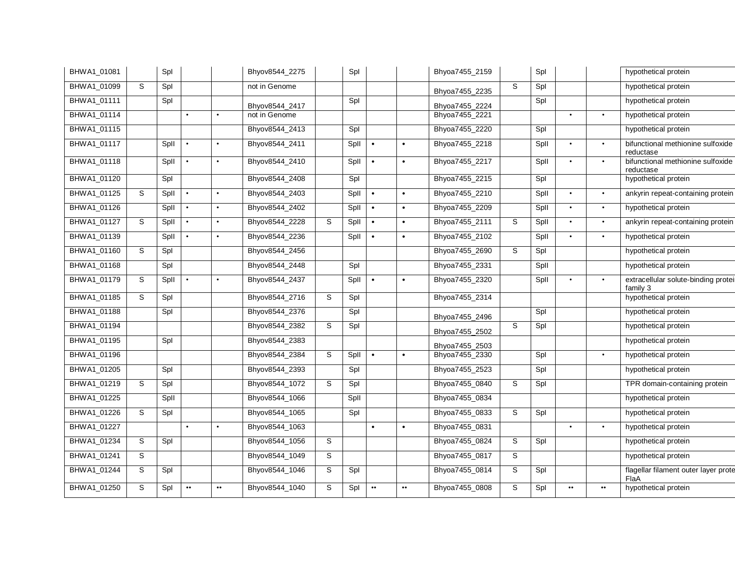| BHWA1_01099<br>BHWA1_01111<br>BHWA1_01114<br>BHWA1_01115<br>BHWA1_01117<br>BHWA1_01118<br>BHWA1 01120 |   |      |                  |                  | Bhyov8544_2275 |   | Spl  |                  |                  | Bhyoa7455_2159 |             | Spl  |                  |                  | hypothetical protein                            |
|-------------------------------------------------------------------------------------------------------|---|------|------------------|------------------|----------------|---|------|------------------|------------------|----------------|-------------|------|------------------|------------------|-------------------------------------------------|
|                                                                                                       | S | Spl  |                  |                  | not in Genome  |   |      |                  |                  | Bhyoa7455_2235 | S           | Spl  |                  |                  | hypothetical protein                            |
|                                                                                                       |   | Spl  |                  |                  | Bhyov8544 2417 |   | Spl  |                  |                  | Bhyoa7455 2224 |             | Spl  |                  |                  | hypothetical protein                            |
|                                                                                                       |   |      | $\bullet$        |                  | not in Genome  |   |      |                  |                  | Bhyoa7455_2221 |             |      | $\bullet$        | $\bullet$        | hypothetical protein                            |
|                                                                                                       |   |      |                  |                  | Bhyov8544_2413 |   | Spl  |                  |                  | Bhyoa7455_2220 |             | Spl  |                  |                  | hypothetical protein                            |
|                                                                                                       |   | Spll | $\bullet$        |                  | Bhyov8544_2411 |   | Spll | $\bullet$        | $\bullet$        | Bhyoa7455_2218 |             | Spll |                  | $\bullet$        | bifunctional methionine sulfoxide<br>reductase  |
|                                                                                                       |   | Spll |                  |                  | Bhyov8544_2410 |   | Spll |                  | $\bullet$        | Bhyoa7455_2217 |             | Spll |                  | $\bullet$        | bifunctional methionine sulfoxide<br>reductase  |
|                                                                                                       |   | Spl  |                  |                  | Bhyov8544 2408 |   | Spl  |                  |                  | Bhyoa7455_2215 |             | Spl  |                  |                  | hypothetical protein                            |
| BHWA1_01125                                                                                           | S | Spll | $\bullet$        |                  | Bhyov8544_2403 |   | Spll | $\bullet$        | $\bullet$        | Bhyoa7455_2210 |             | Spll |                  | $\bullet$        | ankyrin repeat-containing protein               |
| BHWA1_01126                                                                                           |   | Spll |                  |                  | Bhyov8544_2402 |   | Spll | $\bullet$        | $\bullet$        | Bhyoa7455_2209 |             | Spll | $\bullet$        | $\bullet$        | hypothetical protein                            |
| BHWA1 01127                                                                                           | S | Spll |                  |                  | Bhyov8544 2228 | S | Spll | $\bullet$        | $\bullet$        | Bhyoa7455_2111 | S           | Spll |                  | $\bullet$        | ankyrin repeat-containing protein               |
| BHWA1_01139                                                                                           |   | Spll | $\bullet$        |                  | Bhyov8544_2236 |   | Spll | $\bullet$        | $\bullet$        | Bhyoa7455_2102 |             | Spll |                  | $\bullet$        | hypothetical protein                            |
| BHWA1_01160                                                                                           | S | Spl  |                  |                  | Bhyov8544_2456 |   |      |                  |                  | Bhyoa7455_2690 | S           | Spl  |                  |                  | hypothetical protein                            |
| BHWA1 01168                                                                                           |   | Spl  |                  |                  | Bhyov8544 2448 |   | Spl  |                  |                  | Bhyoa7455_2331 |             | Spll |                  |                  | hypothetical protein                            |
| BHWA1_01179                                                                                           | S | Spll |                  |                  | Bhyov8544_2437 |   | Spll | $\bullet$        | $\bullet$        | Bhyoa7455_2320 |             | Spll |                  | $\bullet$        | extracellular solute-binding protei<br>family 3 |
| BHWA1 01185                                                                                           | S | Spl  |                  |                  | Bhyov8544_2716 | S | Spl  |                  |                  | Bhyoa7455_2314 |             |      |                  |                  | hypothetical protein                            |
| BHWA1_01188                                                                                           |   | Spl  |                  |                  | Bhyov8544_2376 |   | Spl  |                  |                  | Bhyoa7455_2496 |             | Spl  |                  |                  | hypothetical protein                            |
| BHWA1_01194                                                                                           |   |      |                  |                  | Bhyov8544_2382 | S | Spl  |                  |                  | Bhyoa7455_2502 | S           | Spl  |                  |                  | hypothetical protein                            |
| BHWA1_01195                                                                                           |   | Spl  |                  |                  | Bhyov8544_2383 |   |      |                  |                  | Bhyoa7455_2503 |             |      |                  |                  | hypothetical protein                            |
| BHWA1_01196                                                                                           |   |      |                  |                  | Bhyov8544_2384 | S | Spll | $\bullet$        | $\bullet$        | Bhyoa7455_2330 |             | Spl  |                  | $\bullet$        | hypothetical protein                            |
| BHWA1_01205                                                                                           |   | Spl  |                  |                  | Bhyov8544_2393 |   | Spl  |                  |                  | Bhyoa7455_2523 |             | Spl  |                  |                  | hypothetical protein                            |
| BHWA1 01219                                                                                           | S | Spl  |                  |                  | Bhyov8544_1072 | S | Spl  |                  |                  | Bhyoa7455_0840 | S           | Spl  |                  |                  | TPR domain-containing protein                   |
| BHWA1_01225                                                                                           |   | Spll |                  |                  | Bhyov8544_1066 |   | Spll |                  |                  | Bhyoa7455_0834 |             |      |                  |                  | hypothetical protein                            |
| BHWA1_01226                                                                                           | S | Spl  |                  |                  | Bhyov8544_1065 |   | Spl  |                  |                  | Bhyoa7455_0833 | S           | Spl  |                  |                  | hypothetical protein                            |
| BHWA1_01227                                                                                           |   |      | $\bullet$        | $\bullet$        | Bhyov8544_1063 |   |      | $\bullet$        | $\bullet$        | Bhyoa7455_0831 |             |      | $\bullet$        | $\bullet$        | hypothetical protein                            |
| BHWA1_01234                                                                                           | S | Spl  |                  |                  | Bhyov8544_1056 | S |      |                  |                  | Bhyoa7455_0824 | $\mathsf S$ | Spl  |                  |                  | hypothetical protein                            |
| BHWA1_01241                                                                                           | S |      |                  |                  | Bhyov8544_1049 | S |      |                  |                  | Bhyoa7455_0817 | S           |      |                  |                  | hypothetical protein                            |
| BHWA1 01244                                                                                           | S | Spl  |                  |                  | Bhyov8544_1046 | S | Spl  |                  |                  | Bhyoa7455_0814 | S           | Spl  |                  |                  | flagellar filament outer layer prote<br>FlaA    |
| BHWA1_01250                                                                                           | S | Spl  | $\bullet\bullet$ | $\bullet\bullet$ | Bhyov8544_1040 | S | Spl  | $\bullet\bullet$ | $\bullet\bullet$ | Bhyoa7455_0808 | S           | Spl  | $\bullet\bullet$ | $\bullet\bullet$ | hypothetical protein                            |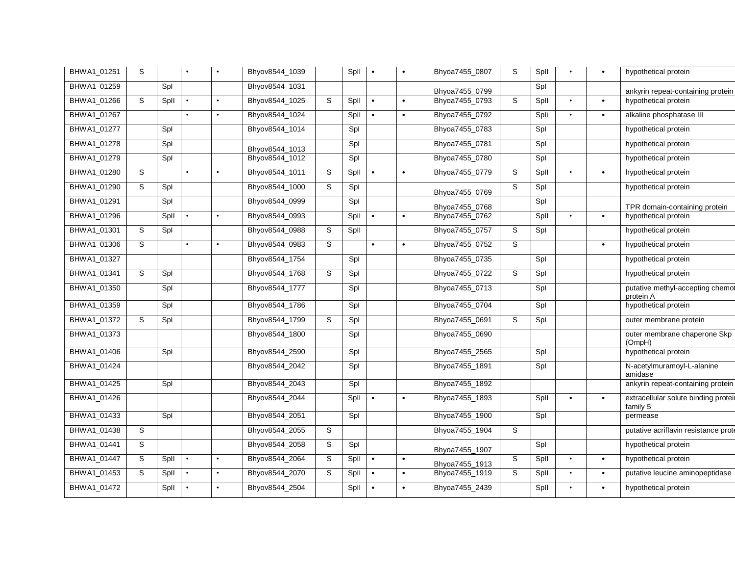| BHWA1 01251 | S |      |           |           | Bhyov8544_1039 |   | Spll | $\bullet$ |           | Bhyoa7455_0807 | S | Spll |           |           | hypothetical protein                             |
|-------------|---|------|-----------|-----------|----------------|---|------|-----------|-----------|----------------|---|------|-----------|-----------|--------------------------------------------------|
| BHWA1_01259 |   | Spl  |           |           | Bhyov8544_1031 |   |      |           |           | Bhyoa7455_0799 |   | Spl  |           |           | ankyrin repeat-containing protein                |
| BHWA1_01266 | S | Spll |           |           | Bhyov8544_1025 | S | Spll | $\bullet$ | $\bullet$ | Bhyoa7455_0793 | S | Spll | $\bullet$ | $\bullet$ | hypothetical protein                             |
| BHWA1_01267 |   |      | $\bullet$ |           | Bhyov8544 1024 |   | Spll | $\bullet$ | $\bullet$ | Bhyoa7455_0792 |   | Spli | $\bullet$ |           | alkaline phosphatase III                         |
| BHWA1_01277 |   | Spl  |           |           | Bhyov8544_1014 |   | Spl  |           |           | Bhyoa7455_0783 |   | Spl  |           |           | hypothetical protein                             |
| BHWA1_01278 |   | Spl  |           |           | Bhyov8544_1013 |   | Spl  |           |           | Bhyoa7455_0781 |   | Spl  |           |           | hypothetical protein                             |
| BHWA1_01279 |   | Spl  |           |           | Bhyov8544_1012 |   | Spl  |           |           | Bhyoa7455_0780 |   | Spl  |           |           | hypothetical protein                             |
| BHWA1_01280 | S |      | $\bullet$ |           | Bhyov8544_1011 | S | Spll | $\bullet$ | $\bullet$ | Bhyoa7455_0779 | S | Spll | $\bullet$ |           | hypothetical protein                             |
| BHWA1_01290 | S | Spl  |           |           | Bhyov8544_1000 | S | Spl  |           |           | Bhyoa7455_0769 | S | Spl  |           |           | hypothetical protein                             |
| BHWA1_01291 |   | Spl  |           |           | Bhyov8544_0999 |   | Spl  |           |           | Bhyoa7455 0768 |   | Spl  |           |           | TPR domain-containing protein                    |
| BHWA1_01296 |   | Spll |           |           | Bhyov8544_0993 |   | Spll | $\bullet$ | $\bullet$ | Bhyoa7455_0762 |   | Spll | $\bullet$ |           | hypothetical protein                             |
| BHWA1_01301 | S | Spl  |           |           | Bhyov8544 0988 | S | Spll |           |           | Bhyoa7455_0757 | S | Spl  |           |           | hypothetical protein                             |
| BHWA1_01306 | S |      | $\bullet$ |           | Bhyov8544_0983 | S |      | $\bullet$ | $\bullet$ | Bhyoa7455_0752 | S |      |           | $\bullet$ | hypothetical protein                             |
| BHWA1_01327 |   |      |           |           | Bhyov8544_1754 |   | Spl  |           |           | Bhyoa7455_0735 |   | Spl  |           |           | hypothetical protein                             |
| BHWA1_01341 | S | Spl  |           |           | Bhyov8544_1768 | S | Spl  |           |           | Bhyoa7455 0722 | S | Spl  |           |           | hypothetical protein                             |
| BHWA1_01350 |   | Spl  |           |           | Bhyov8544_1777 |   | Spl  |           |           | Bhyoa7455_0713 |   | Spl  |           |           | putative methyl-accepting chemot<br>protein A    |
| BHWA1_01359 |   | Spl  |           |           | Bhyov8544_1786 |   | Spl  |           |           | Bhyoa7455_0704 |   | Spl  |           |           | hypothetical protein                             |
| BHWA1_01372 | S | Spl  |           |           | Bhyov8544_1799 | S | Spl  |           |           | Bhyoa7455_0691 | S | Spl  |           |           | outer membrane protein                           |
| BHWA1 01373 |   |      |           |           | Bhyov8544_1800 |   | Spl  |           |           | Bhyoa7455_0690 |   |      |           |           | outer membrane chaperone Skp<br>(OmpH)           |
| BHWA1_01406 |   | Spl  |           |           | Bhyov8544_2590 |   | Spl  |           |           | Bhyoa7455_2565 |   | Spl  |           |           | hypothetical protein                             |
| BHWA1_01424 |   |      |           |           | Bhyov8544_2042 |   | Spl  |           |           | Bhyoa7455_1891 |   | Spl  |           |           | N-acetylmuramoyl-L-alanine<br>amidase            |
| BHWA1_01425 |   | Spl  |           |           | Bhyov8544_2043 |   | Spl  |           |           | Bhyoa7455_1892 |   |      |           |           | ankyrin repeat-containing protein                |
| BHWA1 01426 |   |      |           |           | Bhyov8544 2044 |   | Spll | $\bullet$ | $\bullet$ | Bhyoa7455 1893 |   | Spll | $\bullet$ | $\bullet$ | extracellular solute binding proteil<br>family 5 |
| BHWA1_01433 |   | Spl  |           |           | Bhyov8544_2051 |   | Spl  |           |           | Bhyoa7455_1900 |   | Spl  |           |           | permease                                         |
| BHWA1 01438 | S |      |           |           | Bhyov8544_2055 | S |      |           |           | Bhyoa7455_1904 | S |      |           |           | putative acriflavin resistance prote             |
| BHWA1_01441 | S |      |           |           | Bhyov8544_2058 | S | Spl  |           |           | Bhyoa7455_1907 |   | Spl  |           |           | hypothetical protein                             |
| BHWA1_01447 | S | Spll | $\bullet$ | $\bullet$ | Bhyov8544_2064 | S | Spll | $\bullet$ | $\bullet$ | Bhyoa7455_1913 | S | Spll | $\bullet$ | $\bullet$ | hypothetical protein                             |
| BHWA1 01453 | S | Spll |           | $\bullet$ | Bhyov8544 2070 | S | Spll | $\bullet$ | $\bullet$ | Bhyoa7455 1919 | S | Spll | $\bullet$ | $\bullet$ | putative leucine aminopeptidase                  |
| BHWA1_01472 |   | Spll | $\bullet$ |           | Bhyov8544_2504 |   | Spll | $\bullet$ | $\bullet$ | Bhyoa7455_2439 |   | Spll | $\bullet$ | $\bullet$ | hypothetical protein                             |
|             |   |      |           |           |                |   |      |           |           |                |   |      |           |           |                                                  |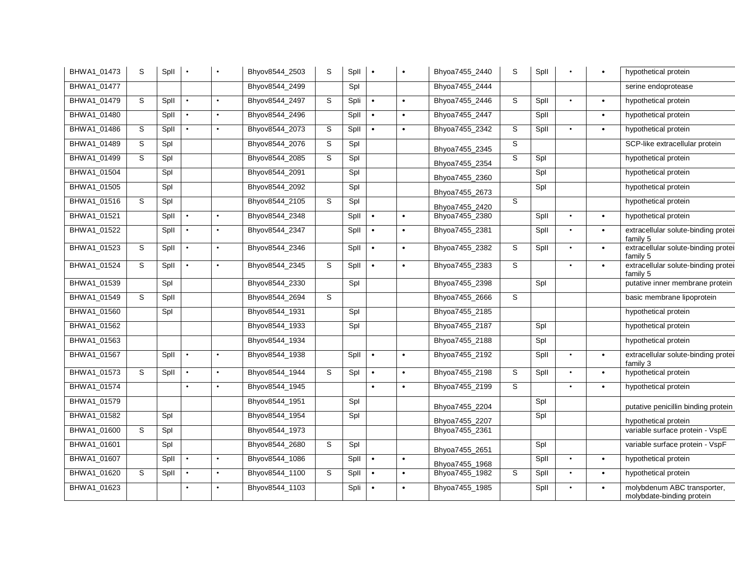| BHWA1_01473 | S | Spll |           |           | Bhyov8544_2503 | S            | Spll | $\bullet$ |           | Bhyoa7455_2440 | S | Spll |           |           | hypothetical protein                                     |
|-------------|---|------|-----------|-----------|----------------|--------------|------|-----------|-----------|----------------|---|------|-----------|-----------|----------------------------------------------------------|
| BHWA1_01477 |   |      |           |           | Bhyov8544_2499 |              | Spl  |           |           | Bhyoa7455_2444 |   |      |           |           | serine endoprotease                                      |
| BHWA1_01479 | S | Spll |           |           | Bhyov8544_2497 | S            | Spli | $\bullet$ | $\bullet$ | Bhyoa7455_2446 | S | Spll |           | $\bullet$ | hypothetical protein                                     |
| BHWA1_01480 |   | Spll | $\bullet$ | $\bullet$ | Bhyov8544_2496 |              | Spll | $\bullet$ | $\bullet$ | Bhyoa7455_2447 |   | Spll |           | $\bullet$ | hypothetical protein                                     |
| BHWA1_01486 | S | Spll |           | $\bullet$ | Bhyov8544_2073 | S            | Spll | $\bullet$ | $\bullet$ | Bhyoa7455_2342 | S | Spll | $\bullet$ | $\bullet$ | hypothetical protein                                     |
| BHWA1_01489 | S | Spl  |           |           | Bhyov8544_2076 | S            | Spl  |           |           | Bhyoa7455_2345 | S |      |           |           | SCP-like extracellular protein                           |
| BHWA1_01499 | S | Spl  |           |           | Bhyov8544_2085 | S.           | Spl  |           |           | Bhyoa7455_2354 | S | Spl  |           |           | hypothetical protein                                     |
| BHWA1_01504 |   | Spl  |           |           | Bhyov8544_2091 |              | Spl  |           |           | Bhyoa7455_2360 |   | Spl  |           |           | hypothetical protein                                     |
| BHWA1_01505 |   | Spl  |           |           | Bhyov8544_2092 |              | Spl  |           |           | Bhyoa7455_2673 |   | Spl  |           |           | hypothetical protein                                     |
| BHWA1_01516 | S | Spl  |           |           | Bhyov8544_2105 | S            | Spl  |           |           | Bhyoa7455_2420 | S |      |           |           | hypothetical protein                                     |
| BHWA1_01521 |   | Spll | $\bullet$ | $\bullet$ | Bhyov8544_2348 |              | Spll | $\bullet$ | $\bullet$ | Bhyoa7455_2380 |   | Spll | $\bullet$ | $\bullet$ | hypothetical protein                                     |
| BHWA1_01522 |   | Spll | $\bullet$ |           | Bhyov8544_2347 |              | Spll | $\bullet$ | $\bullet$ | Bhyoa7455_2381 |   | Spll |           | $\bullet$ | extracellular solute-binding proteil<br>family 5         |
| BHWA1_01523 | S | Spll | $\bullet$ | $\bullet$ | Bhyov8544_2346 |              | Spll | $\bullet$ | $\bullet$ | Bhyoa7455_2382 | S | Spll |           | $\bullet$ | extracellular solute-binding protei<br>family 5          |
| BHWA1_01524 | S | Spll | $\bullet$ | $\bullet$ | Bhyov8544_2345 | S            | Spll | $\bullet$ | $\bullet$ | Bhyoa7455_2383 | S |      | $\bullet$ | $\bullet$ | extracellular solute-binding proteil<br>family 5         |
| BHWA1_01539 |   | Spl  |           |           | Bhyov8544_2330 |              | Spl  |           |           | Bhyoa7455_2398 |   | Spl  |           |           | putative inner membrane protein                          |
| BHWA1_01549 | S | Spll |           |           | Bhyov8544_2694 | <sub>S</sub> |      |           |           | Bhyoa7455_2666 | S |      |           |           | basic membrane lipoprotein                               |
| BHWA1_01560 |   | Spl  |           |           | Bhyov8544_1931 |              | Spl  |           |           | Bhyoa7455_2185 |   |      |           |           | hypothetical protein                                     |
| BHWA1_01562 |   |      |           |           | Bhyov8544_1933 |              | Spl  |           |           | Bhyoa7455_2187 |   | Spl  |           |           | hypothetical protein                                     |
| BHWA1_01563 |   |      |           |           | Bhyov8544_1934 |              |      |           |           | Bhyoa7455_2188 |   | Spl  |           |           | hypothetical protein                                     |
| BHWA1_01567 |   | Spll | $\bullet$ | $\bullet$ | Bhyov8544_1938 |              | Spll | $\bullet$ | $\bullet$ | Bhyoa7455_2192 |   | Spll | $\bullet$ | $\bullet$ | extracellular solute-binding protei<br>family 3          |
| BHWA1_01573 | S | Spll | $\bullet$ | $\bullet$ | Bhyov8544_1944 | S            | Spl  | $\bullet$ | $\bullet$ | Bhyoa7455_2198 | S | Spll | $\bullet$ | $\bullet$ | hypothetical protein                                     |
| BHWA1_01574 |   |      | $\bullet$ |           | Bhyov8544_1945 |              |      | $\bullet$ | $\bullet$ | Bhyoa7455_2199 | S |      | $\bullet$ | $\bullet$ | hypothetical protein                                     |
| BHWA1_01579 |   |      |           |           | Bhyov8544_1951 |              | Spl  |           |           | Bhyoa7455 2204 |   | Spl  |           |           | putative penicillin binding protein                      |
| BHWA1_01582 |   | Spl  |           |           | Bhyov8544_1954 |              | Spl  |           |           | Bhyoa7455_2207 |   | Spl  |           |           | hypothetical protein                                     |
| BHWA1_01600 | S | Spl  |           |           | Bhyov8544_1973 |              |      |           |           | Bhyoa7455_2361 |   |      |           |           | variable surface protein - VspE                          |
| BHWA1_01601 |   | Spl  |           |           | Bhyov8544_2680 | S            | Spl  |           |           | Bhyoa7455_2651 |   | Spl  |           |           | variable surface protein - VspF                          |
| BHWA1_01607 |   | Spll | $\bullet$ | $\bullet$ | Bhyov8544_1086 |              | Spll | $\bullet$ | $\bullet$ | Bhyoa7455_1968 |   | Spll | $\bullet$ | $\bullet$ | hypothetical protein                                     |
| BHWA1_01620 | S | Spll | $\bullet$ | $\bullet$ | Bhyov8544_1100 | S            | Spll | $\bullet$ | $\bullet$ | Bhyoa7455_1982 | S | Spll | $\bullet$ | $\bullet$ | hypothetical protein                                     |
| BHWA1 01623 |   |      | $\bullet$ |           | Bhyov8544_1103 |              | Spli | $\bullet$ | $\bullet$ | Bhyoa7455_1985 |   | Spll | $\bullet$ | $\bullet$ | molybdenum ABC transporter,<br>molybdate-binding protein |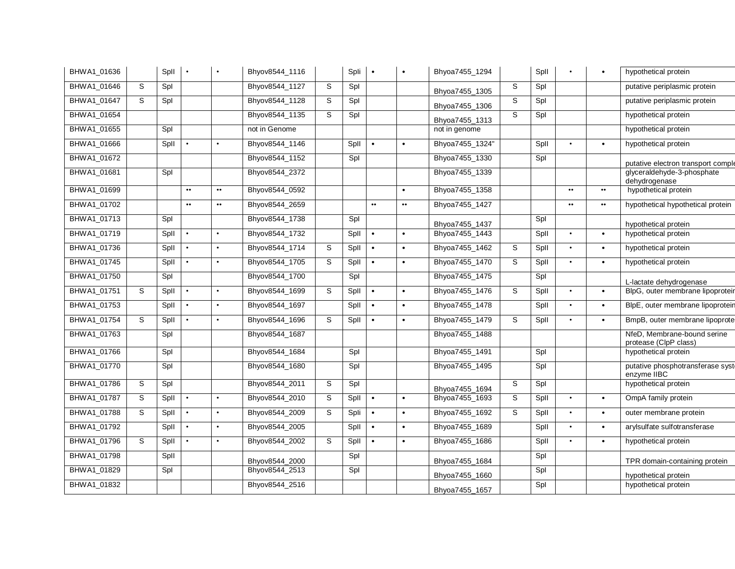| BHWA1_01636 |   | Spll |                  |                  | Bhyov8544_1116 |   | Spli | $\bullet$        | $\bullet$        | Bhyoa7455_1294  |   | Spll |                  | $\bullet$        | hypothetical protein                                 |
|-------------|---|------|------------------|------------------|----------------|---|------|------------------|------------------|-----------------|---|------|------------------|------------------|------------------------------------------------------|
| BHWA1 01646 | S | Spl  |                  |                  | Bhyov8544 1127 | S | Spl  |                  |                  | Bhyoa7455_1305  | S | Spl  |                  |                  | putative periplasmic protein                         |
| BHWA1 01647 | S | Spl  |                  |                  | Bhyov8544_1128 | S | Spl  |                  |                  | Bhyoa7455_1306  | S | Spl  |                  |                  | putative periplasmic protein                         |
| BHWA1_01654 |   |      |                  |                  | Bhyov8544 1135 | S | Spl  |                  |                  | Bhyoa7455_1313  | S | Spl  |                  |                  | hypothetical protein                                 |
| BHWA1_01655 |   | Spl  |                  |                  | not in Genome  |   |      |                  |                  | not in genome   |   |      |                  |                  | hypothetical protein                                 |
| BHWA1_01666 |   | Spll |                  | $\bullet$        | Bhyov8544_1146 |   | Spll | $\bullet$        | $\bullet$        | Bhyoa7455_1324" |   | Spll | $\bullet$        | $\bullet$        | hypothetical protein                                 |
| BHWA1_01672 |   |      |                  |                  | Bhyov8544_1152 |   | Spl  |                  |                  | Bhyoa7455_1330  |   | Spl  |                  |                  | putative electron transport comple                   |
| BHWA1_01681 |   | Spl  |                  |                  | Bhyov8544_2372 |   |      |                  |                  | Bhyoa7455_1339  |   |      |                  |                  | glyceraldehyde-3-phosphate<br>dehydrogenase          |
| BHWA1_01699 |   |      | $\bullet\bullet$ | $\bullet\bullet$ | Bhyov8544_0592 |   |      |                  | $\bullet$        | Bhyoa7455_1358  |   |      | $\bullet\bullet$ | $\bullet\bullet$ | hypothetical protein                                 |
| BHWA1_01702 |   |      | $\bullet\bullet$ | $\bullet\bullet$ | Bhyov8544_2659 |   |      | $\bullet\bullet$ | $\bullet\bullet$ | Bhyoa7455_1427  |   |      | $\bullet\bullet$ | $\bullet\bullet$ | hypothetical hypothetical protein                    |
| BHWA1_01713 |   | Spl  |                  |                  | Bhyov8544_1738 |   | Spl  |                  |                  | Bhyoa7455_1437  |   | Spl  |                  |                  | hypothetical protein                                 |
| BHWA1_01719 |   | Spll | $\bullet$        | $\bullet$        | Bhyov8544_1732 |   | Spll | $\bullet$        | $\bullet$        | Bhyoa7455_1443  |   | Spll | $\bullet$        | $\bullet$        | hypothetical protein                                 |
| BHWA1_01736 |   | Spll |                  | $\bullet$        | Bhyov8544_1714 | S | Spll | $\bullet$        | $\bullet$        | Bhyoa7455_1462  | S | Spll | $\bullet$        | $\bullet$        | hypothetical protein                                 |
| BHWA1_01745 |   | Spll | $\bullet$        | $\bullet$        | Bhyov8544_1705 | S | Spll | $\bullet$        | $\bullet$        | Bhyoa7455_1470  | S | Spll | $\bullet$        | $\bullet$        | hypothetical protein                                 |
| BHWA1_01750 |   | Spl  |                  |                  | Bhyov8544_1700 |   | Spl  |                  |                  | Bhyoa7455_1475  |   | Spl  |                  |                  | L-lactate dehydrogenase                              |
| BHWA1_01751 | S | Spll | $\bullet$        | $\bullet$        | Bhyov8544_1699 | S | Spll | $\bullet$        | $\bullet$        | Bhyoa7455_1476  | S | Spll | $\bullet$        | $\bullet$        | BlpG, outer membrane lipoproteir                     |
| BHWA1_01753 |   | Spll | $\bullet$        | $\bullet$        | Bhyov8544_1697 |   | Spll | $\bullet$        | $\bullet$        | Bhyoa7455_1478  |   | Spll | $\bullet$        | $\bullet$        | BlpE, outer membrane lipoprotein                     |
| BHWA1_01754 | S | Spll | $\bullet$        | $\bullet$        | Bhyov8544_1696 | S | Spll | $\bullet$        | $\bullet$        | Bhyoa7455_1479  | S | Spll | $\bullet$        | $\bullet$        | BmpB, outer membrane lipoprote                       |
| BHWA1_01763 |   | Spl  |                  |                  | Bhyov8544_1687 |   |      |                  |                  | Bhyoa7455_1488  |   |      |                  |                  | NfeD, Membrane-bound serine<br>protease (ClpP class) |
| BHWA1_01766 |   | Spl  |                  |                  | Bhyov8544_1684 |   | Spl  |                  |                  | Bhyoa7455_1491  |   | Spl  |                  |                  | hypothetical protein                                 |
| BHWA1_01770 |   | Spl  |                  |                  | Bhyov8544_1680 |   | Spl  |                  |                  | Bhyoa7455_1495  |   | Spl  |                  |                  | putative phosphotransferase syst<br>enzyme IIBC      |
| BHWA1_01786 | S | Spl  |                  |                  | Bhyov8544 2011 | S | Spl  |                  |                  | Bhyoa7455_1694  | S | Spl  |                  |                  | hypothetical protein                                 |
| BHWA1_01787 | S | Spll |                  | $\bullet$        | Bhyov8544_2010 | S | Spll | $\bullet$        | $\bullet$        | Bhyoa7455_1693  | S | Spll | $\bullet$        | $\bullet$        | OmpA family protein                                  |
| BHWA1_01788 | S | Spll | $\bullet$        | $\bullet$        | Bhyov8544_2009 | S | Spli | $\bullet$        | $\bullet$        | Bhyoa7455_1692  | S | Spll | $\bullet$        | $\bullet$        | outer membrane protein                               |
| BHWA1_01792 |   | Spll | $\bullet$        | $\bullet$        | Bhyov8544_2005 |   | Spll | $\bullet$        | $\bullet$        | Bhyoa7455_1689  |   | Spll | $\bullet$        | $\bullet$        | arylsulfate sulfotransferase                         |
| BHWA1_01796 | S | Spll | $\bullet$        | $\bullet$        | Bhyov8544_2002 | S | Spll | $\bullet$        | $\bullet$        | Bhyoa7455_1686  |   | Spll | $\bullet$        | $\bullet$        | hypothetical protein                                 |
| BHWA1_01798 |   | Spll |                  |                  | Bhyov8544_2000 |   | Spl  |                  |                  | Bhyoa7455_1684  |   | Spl  |                  |                  | TPR domain-containing protein                        |
| BHWA1_01829 |   | Spl  |                  |                  | Bhyov8544_2513 |   | Spl  |                  |                  | Bhyoa7455_1660  |   | Spl  |                  |                  | hypothetical protein                                 |
| BHWA1_01832 |   |      |                  |                  | Bhyov8544_2516 |   |      |                  |                  | Bhyoa7455_1657  |   | Spl  |                  |                  | hypothetical protein                                 |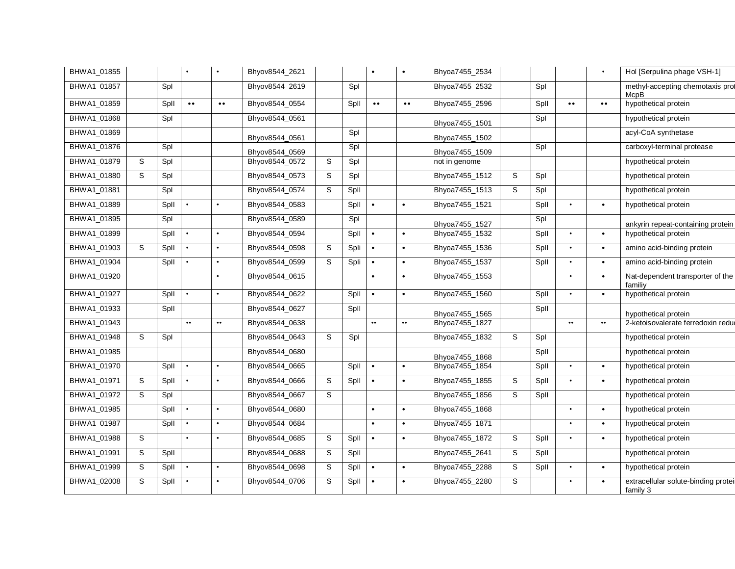| BHWA1_01855 |   |      |                   | $\bullet$          | Bhyov8544_2621 |   |              |                  | $\bullet$        | Bhyoa7455_2534 |   |      |                  |                  | Hol [Serpulina phage VSH-1]                     |
|-------------|---|------|-------------------|--------------------|----------------|---|--------------|------------------|------------------|----------------|---|------|------------------|------------------|-------------------------------------------------|
| BHWA1 01857 |   | Spl  |                   |                    | Bhyov8544_2619 |   | Spl          |                  |                  | Bhyoa7455_2532 |   | Spl  |                  |                  | methyl-accepting chemotaxis prot<br>McpB        |
| BHWA1_01859 |   | Spll | $\bullet\bullet$  | $\bullet\,\bullet$ | Bhyov8544_0554 |   | Spll         | $\bullet\bullet$ | $\bullet\bullet$ | Bhyoa7455_2596 |   | Spll | $\bullet\bullet$ | $\bullet\bullet$ | hypothetical protein                            |
| BHWA1_01868 |   | Spl  |                   |                    | Bhyov8544_0561 |   |              |                  |                  | Bhyoa7455_1501 |   | Spl  |                  |                  | hypothetical protein                            |
| BHWA1_01869 |   |      |                   |                    | Bhyov8544 0561 |   | Spl          |                  |                  | Bhyoa7455_1502 |   |      |                  |                  | acyl-CoA synthetase                             |
| BHWA1_01876 |   | Spl  |                   |                    | Bhyov8544 0569 |   | Spl          |                  |                  | Bhyoa7455_1509 |   | Spl  |                  |                  | carboxyl-terminal protease                      |
| BHWA1_01879 | S | Spl  |                   |                    | Bhyov8544_0572 | S | Spl          |                  |                  | not in genome  |   |      |                  |                  | hypothetical protein                            |
| BHWA1_01880 | S | Spl  |                   |                    | Bhyov8544_0573 | S | Spl          |                  |                  | Bhyoa7455_1512 | S | Spl  |                  |                  | hypothetical protein                            |
| BHWA1_01881 |   | Spl  |                   |                    | Bhyov8544_0574 | S | Spll         |                  |                  | Bhyoa7455_1513 | S | Spl  |                  |                  | hypothetical protein                            |
| BHWA1_01889 |   | Spll | $\bullet$         | $\bullet$          | Bhyov8544_0583 |   | Spll         | $\bullet$        | $\bullet$        | Bhyoa7455_1521 |   | Spll | $\bullet$        | $\bullet$        | hypothetical protein                            |
| BHWA1_01895 |   | Spl  |                   |                    | Bhyov8544_0589 |   | Spl          |                  |                  | Bhyoa7455_1527 |   | Spl  |                  |                  | ankyrin repeat-containing protein               |
| BHWA1_01899 |   | Spll | $\bullet$         | $\bullet$          | Bhyov8544_0594 |   | Spll         | $\bullet$        | $\bullet$        | Bhyoa7455_1532 |   | Spll | $\bullet$        | $\bullet$        | hypothetical protein                            |
| BHWA1_01903 | S | Spll |                   | $\bullet$          | Bhyov8544_0598 | S | Spli         | $\bullet$        | $\bullet$        | Bhyoa7455_1536 |   | Spll | $\bullet$        | $\bullet$        | amino acid-binding protein                      |
| BHWA1_01904 |   | Spll | $\bullet$         | $\bullet$          | Bhyov8544_0599 | S | Spli         | $\bullet$        | $\bullet$        | Bhyoa7455_1537 |   | Spll | $\bullet$        | $\bullet$        | amino acid-binding protein                      |
| BHWA1_01920 |   |      |                   | $\bullet$          | Bhyov8544_0615 |   |              |                  | $\bullet$        | Bhyoa7455_1553 |   |      | $\bullet$        | $\bullet$        | Nat-dependent transporter of the<br>familiy     |
| BHWA1_01927 |   | Spll |                   | $\bullet$          | Bhyov8544_0622 |   | Spll         | $\bullet$        | $\bullet$        | Bhyoa7455_1560 |   | Spll | $\bullet$        | $\bullet$        | hypothetical protein                            |
| BHWA1 01933 |   | Spll |                   |                    | Bhyov8544_0627 |   | Spll         |                  |                  | Bhyoa7455_1565 |   | Spll |                  |                  | hypothetical protein                            |
| BHWA1_01943 |   |      | $\bullet \bullet$ | $\bullet\bullet$   | Bhyov8544_0638 |   |              | $\bullet\bullet$ | $\bullet\bullet$ | Bhyoa7455_1827 |   |      | $\bullet\bullet$ | $\bullet\bullet$ | 2-ketoisovalerate ferredoxin reduc              |
| BHWA1_01948 | S | Spl  |                   |                    | Bhyov8544_0643 | S | Spl          |                  |                  | Bhyoa7455_1832 | S | Spl  |                  |                  | hypothetical protein                            |
| BHWA1_01985 |   |      |                   |                    | Bhyov8544_0680 |   |              |                  |                  | Bhyoa7455 1868 |   | Spll |                  |                  | hypothetical protein                            |
| BHWA1_01970 |   | Spll | $\bullet$         | $\bullet$          | Bhyov8544_0665 |   | <b>Spll</b>  | $\bullet$        | $\bullet$        | Bhyoa7455_1854 |   | Spll | $\bullet$        | $\bullet$        | hypothetical protein                            |
| BHWA1_01971 | S | Spll |                   |                    | Bhyov8544_0666 | S | $SpII \cdot$ |                  | $\bullet$        | Bhyoa7455_1855 | S | Spll |                  | $\bullet$        | hypothetical protein                            |
| BHWA1_01972 | S | Spl  |                   |                    | Bhyov8544_0667 | S |              |                  |                  | Bhyoa7455_1856 | S | Spll |                  |                  | hypothetical protein                            |
| BHWA1_01985 |   | Spll | $\bullet$         | $\bullet$          | Bhyov8544_0680 |   |              | $\bullet$        | $\bullet$        | Bhyoa7455_1868 |   |      | $\bullet$        | $\bullet$        | hypothetical protein                            |
| BHWA1 01987 |   | Spll | $\bullet$         | $\bullet$          | Bhyov8544_0684 |   |              | $\bullet$        | $\bullet$        | Bhyoa7455_1871 |   |      | $\bullet$        | $\bullet$        | hypothetical protein                            |
| BHWA1 01988 | S |      | $\bullet$         | $\bullet$          | Bhyov8544_0685 | S | Spll         | $\bullet$        | $\bullet$        | Bhyoa7455_1872 | S | Spll | $\bullet$        | $\bullet$        | hypothetical protein                            |
| BHWA1_01991 | S | Spll |                   |                    | Bhyov8544_0688 | S | Spll         |                  |                  | Bhyoa7455_2641 | S | Spll |                  |                  | hypothetical protein                            |
| BHWA1_01999 | S | Spll | $\bullet$         | $\bullet$          | Bhyov8544_0698 | S | Spll         | $\bullet$        | $\bullet$        | Bhyoa7455_2288 | S | Spll | $\bullet$        | $\bullet$        | hypothetical protein                            |
| BHWA1_02008 | S | Spll |                   |                    | Bhyov8544_0706 | S | Spll         | $\bullet$        | $\bullet$        | Bhyoa7455_2280 | S |      | $\bullet$        | $\bullet$        | extracellular solute-binding protei<br>family 3 |
|             |   |      |                   |                    |                |   |              |                  |                  |                |   |      |                  |                  |                                                 |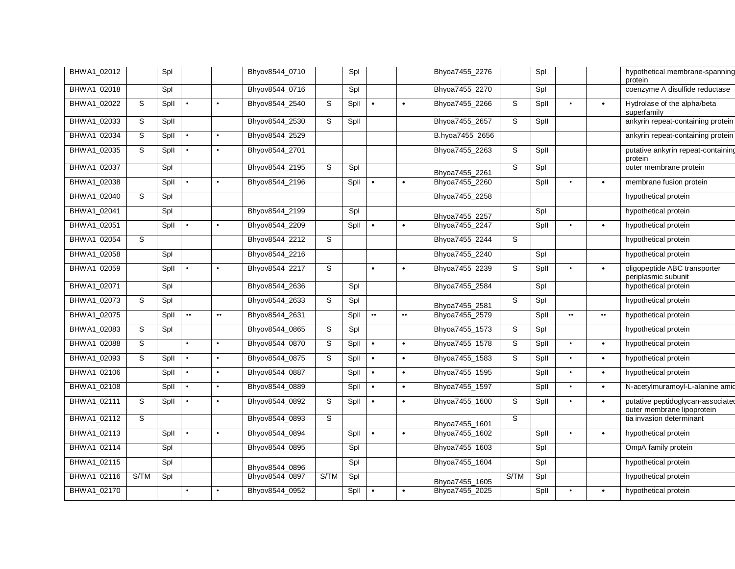| BHWA1_02012 |      | Spl  |                  |                  | Bhyov8544_0710 |             | Spl  |                  |                  | Bhyoa7455_2276  |             | Spl  |                  |           | hypothetical membrane-spanning<br>protein                       |
|-------------|------|------|------------------|------------------|----------------|-------------|------|------------------|------------------|-----------------|-------------|------|------------------|-----------|-----------------------------------------------------------------|
| BHWA1_02018 |      | Spl  |                  |                  | Bhyov8544_0716 |             | Spl  |                  |                  | Bhyoa7455_2270  |             | Spl  |                  |           | coenzyme A disulfide reductase                                  |
| BHWA1_02022 | S    | Spll | $\bullet$        | $\bullet$        | Bhyov8544_2540 | $\mathbb S$ | Spll |                  | $\bullet$        | Bhyoa7455_2266  | $\mathbb S$ | Spll | $\bullet$        | $\bullet$ | Hydrolase of the alpha/beta<br>superfamily                      |
| BHWA1_02033 | S    | Spll |                  |                  | Bhyov8544_2530 | S           | Spll |                  |                  | Bhyoa7455_2657  | s           | Spll |                  |           | ankyrin repeat-containing protein                               |
| BHWA1_02034 | S    | Spll | $\bullet$        | $\bullet$        | Bhyov8544_2529 |             |      |                  |                  | B.hyoa7455_2656 |             |      |                  |           | ankyrin repeat-containing protein                               |
| BHWA1_02035 | S    | Spll |                  | $\bullet$        | Bhyov8544_2701 |             |      |                  |                  | Bhyoa7455_2263  | S           | Spll |                  |           | putative ankyrin repeat-containing<br>protein                   |
| BHWA1_02037 |      | Spl  |                  |                  | Bhyov8544_2195 | S           | Spl  |                  |                  | Bhyoa7455_2261  | S           | Spl  |                  |           | outer membrane protein                                          |
| BHWA1_02038 |      | Spll | $\bullet$        | $\bullet$        | Bhyov8544_2196 |             | Spll | $\bullet$        | $\bullet$        | Bhyoa7455_2260  |             | Spll | $\bullet$        | $\bullet$ | membrane fusion protein                                         |
| BHWA1_02040 | S    | Spl  |                  |                  |                |             |      |                  |                  | Bhyoa7455_2258  |             |      |                  |           | hypothetical protein                                            |
| BHWA1_02041 |      | Spl  |                  |                  | Bhyov8544_2199 |             | Spl  |                  |                  | Bhyoa7455_2257  |             | Spl  |                  |           | hypothetical protein                                            |
| BHWA1_02051 |      | Spll | $\bullet$        |                  | Bhyov8544_2209 |             | Spll | $\bullet$        | $\bullet$        | Bhyoa7455_2247  |             | Spll | $\bullet$        | $\bullet$ | hypothetical protein                                            |
| BHWA1_02054 | S    |      |                  |                  | Bhyov8544_2212 | S           |      |                  |                  | Bhyoa7455_2244  | S           |      |                  |           | hypothetical protein                                            |
| BHWA1_02058 |      | Spl  |                  |                  | Bhyov8544_2216 |             |      |                  |                  | Bhyoa7455_2240  |             | Spl  |                  |           | hypothetical protein                                            |
| BHWA1_02059 |      | Spll |                  |                  | Bhyov8544_2217 | S           |      |                  | $\bullet$        | Bhyoa7455_2239  | S           | Spll | $\bullet$        | $\bullet$ | oligopeptide ABC transporter<br>periplasmic subunit             |
| BHWA1_02071 |      | Spl  |                  |                  | Bhyov8544_2636 |             | Spl  |                  |                  | Bhyoa7455_2584  |             | Spl  |                  |           | hypothetical protein                                            |
| BHWA1_02073 | S    | Spl  |                  |                  | Bhyov8544_2633 | S           | Spl  |                  |                  | Bhyoa7455 2581  | S           | Spl  |                  |           | hypothetical protein                                            |
| BHWA1_02075 |      | Spll | $\bullet\bullet$ | $\bullet\bullet$ | Bhyov8544_2631 |             | Spll | $\bullet\bullet$ | $\bullet\bullet$ | Bhyoa7455_2579  |             | Spll | $\bullet\bullet$ |           | hypothetical protein                                            |
| BHWA1_02083 | S    | Spl  |                  |                  | Bhyov8544_0865 | $\mathbb S$ | Spl  |                  |                  | Bhyoa7455_1573  | S           | Spl  |                  |           | hypothetical protein                                            |
| BHWA1_02088 | S    |      | $\bullet$        | $\bullet$        | Bhyov8544_0870 | S           | Spll | $\bullet$        | $\bullet$        | Bhyoa7455_1578  | S           | Spll | $\bullet$        | $\bullet$ | hypothetical protein                                            |
| BHWA1_02093 | S    | Spll | $\bullet$        |                  | Bhyov8544_0875 | S           | Spll | $\bullet$        | $\bullet$        | Bhyoa7455_1583  | S           | Spll | $\bullet$        | $\bullet$ | hypothetical protein                                            |
| BHWA1_02106 |      | Spll | $\bullet$        | $\bullet$        | Bhyov8544_0887 |             | Spll |                  | $\bullet$        | Bhyoa7455_1595  |             | Spll | $\bullet$        | $\bullet$ | hypothetical protein                                            |
| BHWA1_02108 |      | Spll | $\bullet$        | $\bullet$        | Bhyov8544_0889 |             | Spll | $\bullet$        | $\bullet$        | Bhyoa7455_1597  |             | Spll | $\bullet$        | $\bullet$ | N-acetylmuramoyl-L-alanine amid                                 |
| BHWA1_02111 | S    | Spll |                  |                  | Bhyov8544_0892 | S           | Spll |                  | $\bullet$        | Bhyoa7455_1600  | S           | Spll | $\bullet$        | $\bullet$ | putative peptidoglycan-associated<br>outer membrane lipoprotein |
| BHWA1 02112 | S    |      |                  |                  | Bhyov8544_0893 | S           |      |                  |                  | Bhyoa7455_1601  | S           |      |                  |           | tia invasion determinant                                        |
| BHWA1_02113 |      | Spll | $\bullet$        |                  | Bhyov8544_0894 |             | Spll | $\bullet$        | $\bullet$        | Bhyoa7455_1602  |             | Spll | $\bullet$        | $\bullet$ | hypothetical protein                                            |
| BHWA1_02114 |      | Spl  |                  |                  | Bhyov8544_0895 |             | Spl  |                  |                  | Bhyoa7455_1603  |             | Spl  |                  |           | OmpA family protein                                             |
| BHWA1_02115 |      | Spl  |                  |                  | Bhyov8544_0896 |             | Spl  |                  |                  | Bhyoa7455_1604  |             | Spl  |                  |           | hypothetical protein                                            |
| BHWA1_02116 | S/TM | Spl  |                  |                  | Bhyov8544_0897 | S/TM        | Spl  |                  |                  | Bhyoa7455_1605  | S/TM        | Spl  |                  |           | hypothetical protein                                            |
| BHWA1_02170 |      |      | $\bullet$        |                  | Bhyov8544_0952 |             | Spll |                  |                  | Bhyoa7455_2025  |             | Spll |                  |           | hypothetical protein                                            |
|             |      |      |                  |                  |                |             |      |                  |                  |                 |             |      |                  |           |                                                                 |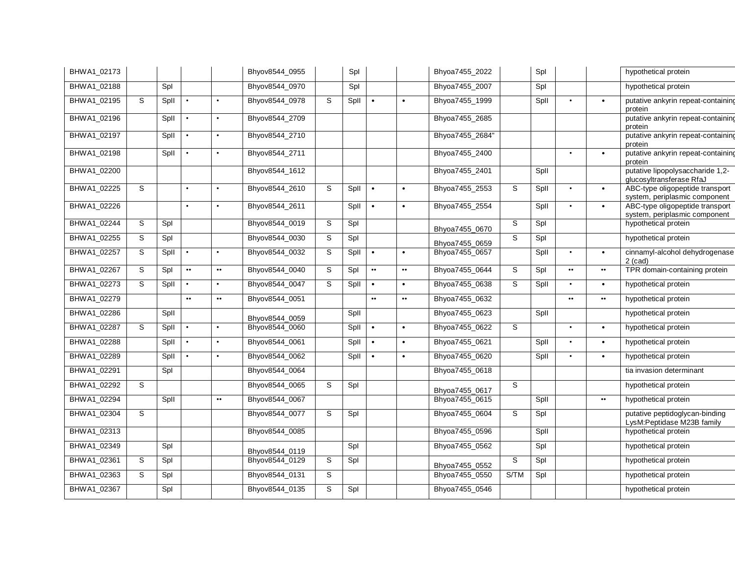| BHWA1_02173 |   |      |                  |                  | Bhyov8544_0955 |   | Spl  |                  |                  | Bhyoa7455_2022  |      | Spl  |                  |                  | hypothetical protein                                             |
|-------------|---|------|------------------|------------------|----------------|---|------|------------------|------------------|-----------------|------|------|------------------|------------------|------------------------------------------------------------------|
| BHWA1_02188 |   | Spl  |                  |                  | Bhyov8544_0970 |   | Spl  |                  |                  | Bhyoa7455_2007  |      | Spl  |                  |                  | hypothetical protein                                             |
| BHWA1_02195 | S | Spll |                  |                  | Bhyov8544_0978 | S | Spll |                  | $\bullet$        | Bhyoa7455_1999  |      | Spll | $\bullet$        | $\bullet$        | putative ankyrin repeat-containing<br>protein                    |
| BHWA1_02196 |   | Spll |                  |                  | Bhyov8544_2709 |   |      |                  |                  | Bhyoa7455_2685  |      |      |                  |                  | putative ankyrin repeat-containing<br>protein                    |
| BHWA1_02197 |   | Spll |                  |                  | Bhyov8544_2710 |   |      |                  |                  | Bhyoa7455_2684" |      |      |                  |                  | putative ankyrin repeat-containing<br>protein                    |
| BHWA1_02198 |   | Spll |                  |                  | Bhyov8544_2711 |   |      |                  |                  | Bhyoa7455_2400  |      |      | $\bullet$        |                  | putative ankyrin repeat-containing<br>protein                    |
| BHWA1_02200 |   |      |                  |                  | Bhyov8544_1612 |   |      |                  |                  | Bhyoa7455_2401  |      | Spll |                  |                  | putative lipopolysaccharide 1,2-<br>glucosyltransferase RfaJ     |
| BHWA1_02225 | S |      |                  |                  | Bhyov8544_2610 | S | Spll | $\bullet$        | $\bullet$        | Bhyoa7455_2553  | S    | Spll | $\bullet$        | $\bullet$        | ABC-type oligopeptide transport<br>system, periplasmic component |
| BHWA1_02226 |   |      | $\bullet$        |                  | Bhyov8544_2611 |   | Spll | $\bullet$        | $\bullet$        | Bhyoa7455_2554  |      | Spll | $\bullet$        | $\bullet$        | ABC-type oligopeptide transport<br>system, periplasmic component |
| BHWA1_02244 | S | Spl  |                  |                  | Bhyov8544_0019 | S | Spl  |                  |                  | Bhyoa7455_0670  | S    | Spl  |                  |                  | hypothetical protein                                             |
| BHWA1_02255 | S | Spl  |                  |                  | Bhyov8544_0030 | S | Spl  |                  |                  | Bhyoa7455 0659  | S    | Spl  |                  |                  | hypothetical protein                                             |
| BHWA1_02257 | S | Spll | $\bullet$        |                  | Bhyov8544_0032 | S | Spll | $\bullet$        | $\bullet$        | Bhyoa7455_0657  |      | Spll | $\bullet$        | $\bullet$        | cinnamyl-alcohol dehydrogenase<br>$2$ (cad)                      |
| BHWA1_02267 | S | Spl  | $\bullet\bullet$ | $\bullet\bullet$ | Bhyov8544_0040 | S | Spl  | $\bullet\bullet$ | $\bullet\bullet$ | Bhyoa7455_0644  | S    | Spl  | $\bullet\bullet$ | $\bullet\bullet$ | TPR domain-containing protein                                    |
| BHWA1_02273 | S | Spll |                  |                  | Bhyov8544_0047 | S | Spll |                  | $\bullet$        | Bhyoa7455_0638  | S    | Spll | $\bullet$        |                  | hypothetical protein                                             |
| BHWA1_02279 |   |      | $\bullet\bullet$ | $\bullet\bullet$ | Bhyov8544_0051 |   |      |                  | $\bullet\bullet$ | Bhyoa7455_0632  |      |      | $\bullet\bullet$ | $\bullet\bullet$ | hypothetical protein                                             |
| BHWA1_02286 |   | Spll |                  |                  | Bhyov8544_0059 |   | Spll |                  |                  | Bhyoa7455_0623  |      | Spll |                  |                  | hypothetical protein                                             |
| BHWA1_02287 | S | Spll |                  |                  | Bhyov8544_0060 |   | Spll | $\bullet$        | $\bullet$        | Bhyoa7455_0622  | S    |      | $\bullet$        |                  | hypothetical protein                                             |
| BHWA1_02288 |   | Spll |                  |                  | Bhyov8544_0061 |   | Spll | $\bullet$        | $\bullet$        | Bhyoa7455_0621  |      | Spll | $\bullet$        | $\bullet$        | hypothetical protein                                             |
| BHWA1_02289 |   | Spll |                  |                  | Bhyov8544_0062 |   | Spll | $\bullet$        | $\bullet$        | Bhyoa7455_0620  |      | Spll | $\bullet$        | $\bullet$        | hypothetical protein                                             |
| BHWA1_02291 |   | Spl  |                  |                  | Bhyov8544_0064 |   |      |                  |                  | Bhyoa7455_0618  |      |      |                  |                  | tia invasion determinant                                         |
| BHWA1_02292 | S |      |                  |                  | Bhyov8544_0065 | S | Spl  |                  |                  | Bhyoa7455_0617  | S.   |      |                  |                  | hypothetical protein                                             |
| BHWA1_02294 |   | Spll |                  | $\bullet\bullet$ | Bhyov8544_0067 |   |      |                  |                  | Bhyoa7455_0615  |      | Spll |                  | $\bullet\bullet$ | hypothetical protein                                             |
| BHWA1_02304 | S |      |                  |                  | Bhyov8544_0077 | S | Spl  |                  |                  | Bhyoa7455_0604  | S    | Spl  |                  |                  | putative peptidoglycan-binding<br>LysM:Peptidase M23B family     |
| BHWA1_02313 |   |      |                  |                  | Bhyov8544_0085 |   |      |                  |                  | Bhyoa7455_0596  |      | Spll |                  |                  | hypothetical protein                                             |
| BHWA1_02349 |   | Spl  |                  |                  | Bhyov8544_0119 |   | Spl  |                  |                  | Bhyoa7455_0562  |      | Spl  |                  |                  | hypothetical protein                                             |
| BHWA1_02361 | S | Spl  |                  |                  | Bhyov8544_0129 | S | Spl  |                  |                  | Bhyoa7455_0552  | S    | Spl  |                  |                  | hypothetical protein                                             |
| BHWA1_02363 | S | Spl  |                  |                  | Bhyov8544_0131 | S |      |                  |                  | Bhyoa7455_0550  | S/TM | Spl  |                  |                  | hypothetical protein                                             |
| BHWA1_02367 |   | Spl  |                  |                  | Bhyov8544_0135 | S | Spl  |                  |                  | Bhyoa7455_0546  |      |      |                  |                  | hypothetical protein                                             |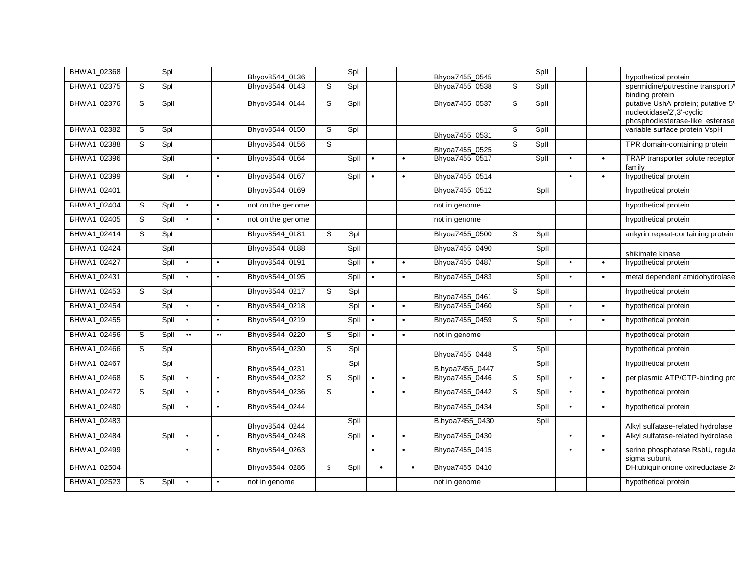| BHWA1_02368 |   | Spl  |                  |                  | Bhyov8544 0136    |                | Spl  |           |           | Bhyoa7455 0545  |             | Spll |           |           | hypothetical protein                                                                                |
|-------------|---|------|------------------|------------------|-------------------|----------------|------|-----------|-----------|-----------------|-------------|------|-----------|-----------|-----------------------------------------------------------------------------------------------------|
| BHWA1_02375 | S | Spl  |                  |                  | Bhyov8544_0143    | S              | Spl  |           |           | Bhyoa7455_0538  | S           | Spll |           |           | spermidine/putrescine transport A<br>binding protein                                                |
| BHWA1_02376 | S | Spll |                  |                  | Bhyov8544_0144    | S              | Spll |           |           | Bhyoa7455_0537  | $\mathsf S$ | Spll |           |           | putative UshA protein; putative 5'-<br>nucleotidase/2',3'-cyclic<br>phosphodiesterase-like esterase |
| BHWA1 02382 | S | Spl  |                  |                  | Bhyov8544_0150    | S              | Spl  |           |           | Bhyoa7455 0531  | S           | Spll |           |           | variable surface protein VspH                                                                       |
| BHWA1_02388 | S | Spl  |                  |                  | Bhyov8544_0156    | S              |      |           |           | Bhyoa7455 0525  | S           | Spll |           |           | TPR domain-containing protein                                                                       |
| BHWA1_02396 |   | Spll |                  |                  | Bhyov8544 0164    |                | Spll | $\bullet$ | $\bullet$ | Bhyoa7455 0517  |             | Spll |           | $\bullet$ | TRAP transporter solute receptor.<br>familv                                                         |
| BHWA1_02399 |   | Spll |                  | $\bullet$        | Bhyov8544_0167    |                | Spll | $\bullet$ | $\bullet$ | Bhyoa7455_0514  |             |      |           | $\bullet$ | hypothetical protein                                                                                |
| BHWA1_02401 |   |      |                  |                  | Bhyov8544_0169    |                |      |           |           | Bhyoa7455_0512  |             | Spll |           |           | hypothetical protein                                                                                |
| BHWA1_02404 | S | Spll | $\bullet$        | $\bullet$        | not on the genome |                |      |           |           | not in genome   |             |      |           |           | hypothetical protein                                                                                |
| BHWA1_02405 | S | Spll |                  |                  | not on the genome |                |      |           |           | not in genome   |             |      |           |           | hypothetical protein                                                                                |
| BHWA1_02414 | S | Spl  |                  |                  | Bhyov8544 0181    | S              | Spl  |           |           | Bhyoa7455_0500  | S           | Spll |           |           | ankyrin repeat-containing protein                                                                   |
| BHWA1_02424 |   | Spll |                  |                  | Bhyov8544_0188    |                | Spll |           |           | Bhyoa7455_0490  |             | Spll |           |           | shikimate kinase                                                                                    |
| BHWA1_02427 |   | Spll | $\bullet$        | $\bullet$        | Bhyov8544_0191    |                | Spll | $\bullet$ | $\bullet$ | Bhyoa7455_0487  |             | Spll |           | $\bullet$ | hypothetical protein                                                                                |
| BHWA1_02431 |   | Spll | $\bullet$        | $\bullet$        | Bhyov8544_0195    |                | Spll | $\bullet$ | $\bullet$ | Bhyoa7455_0483  |             | Spll |           | $\bullet$ | metal dependent amidohydrolase                                                                      |
| BHWA1_02453 | S | Spl  |                  |                  | Bhyov8544 0217    | S              | Spl  |           |           | Bhyoa7455_0461  | S           | Spll |           |           | hypothetical protein                                                                                |
| BHWA1_02454 |   | Spl  | $\bullet$        | $\bullet$        | Bhyov8544_0218    |                | Spl  | $\bullet$ | $\bullet$ | Bhyoa7455_0460  |             | Spll | $\bullet$ | $\bullet$ | hypothetical protein                                                                                |
| BHWA1_02455 |   | Spll |                  | $\bullet$        | Bhyov8544_0219    |                | Spll | $\bullet$ | $\bullet$ | Bhyoa7455_0459  | S           | Spll | $\bullet$ | $\bullet$ | hypothetical protein                                                                                |
| BHWA1_02456 | S | Spll | $\bullet\bullet$ | $\bullet\bullet$ | Bhyov8544_0220    | S              | Spll | $\bullet$ | $\bullet$ | not in genome   |             |      |           |           | hypothetical protein                                                                                |
| BHWA1_02466 | S | Spl  |                  |                  | Bhyov8544_0230    | S              | Spl  |           |           | Bhyoa7455_0448  | S           | Spll |           |           | hypothetical protein                                                                                |
| BHWA1_02467 |   | Spl  |                  |                  | Bhyov8544 0231    |                | Spl  |           |           | B.hyoa7455 0447 |             | Spll |           |           | hypothetical protein                                                                                |
| BHWA1_02468 | S | Spll |                  | $\bullet$        | Bhyov8544_0232    | $\mbox{\bf S}$ | Spll | $\bullet$ | $\bullet$ | Bhyoa7455_0446  | S           | Spll | $\bullet$ | $\bullet$ | periplasmic ATP/GTP-binding pro                                                                     |
| BHWA1_02472 | S | Spll |                  | $\bullet$        | Bhyov8544_0236    | S              |      | $\bullet$ | $\bullet$ | Bhyoa7455_0442  | S           | Spll |           | $\bullet$ | hypothetical protein                                                                                |
| BHWA1 02480 |   | Spll |                  |                  | Bhyov8544_0244    |                |      |           |           | Bhyoa7455_0434  |             | Spll |           | $\bullet$ | hypothetical protein                                                                                |
| BHWA1_02483 |   |      |                  |                  | Bhyov8544_0244    |                | Spll |           |           | B.hyoa7455_0430 |             | Spll |           |           | Alkyl sulfatase-related hydrolase                                                                   |
| BHWA1_02484 |   | Spll |                  |                  | Bhyov8544_0248    |                | Spll | $\bullet$ | $\bullet$ | Bhyoa7455_0430  |             |      |           | $\bullet$ | Alkyl sulfatase-related hydrolase                                                                   |
| BHWA1_02499 |   |      | $\bullet$        |                  | Bhyov8544_0263    |                |      | $\bullet$ | $\bullet$ | Bhyoa7455 0415  |             |      |           | $\bullet$ | serine phosphatase RsbU, regula<br>sigma subunit                                                    |
| BHWA1_02504 |   |      |                  |                  | Bhyov8544 0286    | <sub>S</sub>   | Spll | $\bullet$ | $\bullet$ | Bhyoa7455 0410  |             |      |           |           | DH:ubiquinonone oxireductase 24                                                                     |
| BHWA1_02523 | S | Spll |                  | $\bullet$        | not in genome     |                |      |           |           | not in genome   |             |      |           |           | hypothetical protein                                                                                |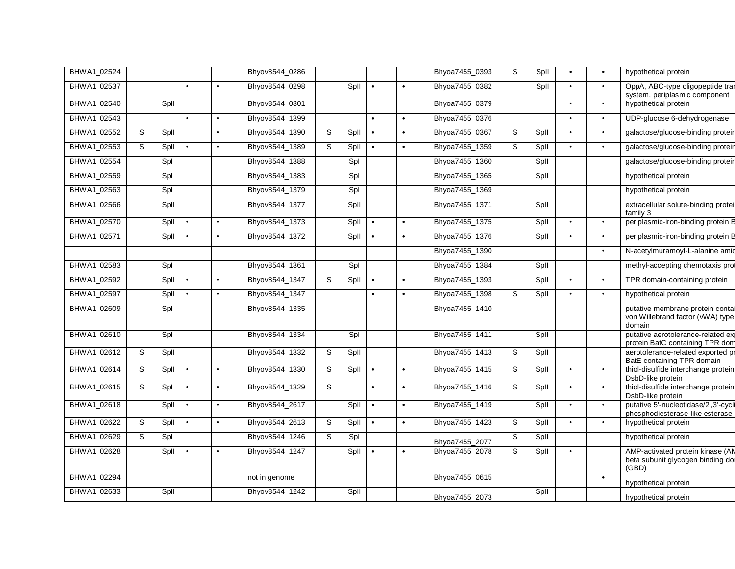| BHWA1_02524 |   |      |           |           | Bhyov8544_0286 |   |      |           |           | Bhyoa7455_0393 | S | Spll |           | $\bullet$ | hypothetical protein                                                           |
|-------------|---|------|-----------|-----------|----------------|---|------|-----------|-----------|----------------|---|------|-----------|-----------|--------------------------------------------------------------------------------|
| BHWA1_02537 |   |      | $\bullet$ |           | Bhyov8544_0298 |   | Spll | $\bullet$ | $\bullet$ | Bhyoa7455_0382 |   | Spll |           | $\bullet$ | OppA, ABC-type oligopeptide tran<br>system, periplasmic component              |
| BHWA1_02540 |   | Spll |           |           | Bhyov8544_0301 |   |      |           |           | Bhyoa7455_0379 |   |      |           | $\bullet$ | hypothetical protein                                                           |
| BHWA1_02543 |   |      | $\bullet$ |           | Bhyov8544_1399 |   |      | $\bullet$ | $\bullet$ | Bhyoa7455_0376 |   |      |           | $\bullet$ | UDP-glucose 6-dehydrogenase                                                    |
| BHWA1_02552 | S | Spll |           | $\bullet$ | Bhyov8544_1390 | S | Spll | $\bullet$ | $\bullet$ | Bhyoa7455_0367 | S | Spll |           | $\bullet$ | galactose/glucose-binding protein                                              |
| BHWA1_02553 | S | Spll |           |           | Bhyov8544_1389 | S | Spll | $\bullet$ |           | Bhyoa7455_1359 | S | Spll |           | $\bullet$ | galactose/glucose-binding protein                                              |
| BHWA1_02554 |   | Spl  |           |           | Bhyov8544_1388 |   | Spl  |           |           | Bhyoa7455_1360 |   | Spll |           |           | galactose/glucose-binding protein                                              |
| BHWA1_02559 |   | Spl  |           |           | Bhyov8544_1383 |   | Spl  |           |           | Bhyoa7455_1365 |   | Spll |           |           | hypothetical protein                                                           |
| BHWA1_02563 |   | Spl  |           |           | Bhyov8544_1379 |   | Spl  |           |           | Bhyoa7455_1369 |   |      |           |           | hypothetical protein                                                           |
| BHWA1_02566 |   | Spll |           |           | Bhyov8544_1377 |   | Spll |           |           | Bhyoa7455_1371 |   | Spll |           |           | extracellular solute-binding proteil<br>family 3                               |
| BHWA1_02570 |   | Spll | $\bullet$ | $\bullet$ | Bhyov8544_1373 |   | Spll | $\bullet$ | $\bullet$ | Bhyoa7455_1375 |   | Spll |           | $\bullet$ | periplasmic-iron-binding protein B                                             |
| BHWA1_02571 |   | Spll | $\bullet$ | $\bullet$ | Bhyov8544_1372 |   | Spll | $\bullet$ | $\bullet$ | Bhyoa7455_1376 |   | Spll |           | $\bullet$ | periplasmic-iron-binding protein B                                             |
|             |   |      |           |           |                |   |      |           |           | Bhyoa7455_1390 |   |      |           | $\bullet$ | N-acetylmuramoyl-L-alanine amic                                                |
| BHWA1_02583 |   | Spl  |           |           | Bhyov8544_1361 |   | Spl  |           |           | Bhyoa7455_1384 |   | Spll |           |           | methyl-accepting chemotaxis prot                                               |
| BHWA1_02592 |   | Spll |           |           | Bhyov8544_1347 | S | Spll |           |           | Bhyoa7455_1393 |   | Spll |           | $\bullet$ | TPR domain-containing protein                                                  |
| BHWA1_02597 |   | Spll |           | $\bullet$ | Bhyov8544_1347 |   |      | $\bullet$ |           | Bhyoa7455_1398 | S | Spll |           | $\bullet$ | hypothetical protein                                                           |
| BHWA1_02609 |   | Spl  |           |           | Bhyov8544 1335 |   |      |           |           | Bhyoa7455_1410 |   |      |           |           | putative membrane protein contai<br>von Willebrand factor (vWA) type<br>domain |
| BHWA1_02610 |   | Spl  |           |           | Bhyov8544_1334 |   | Spl  |           |           | Bhyoa7455_1411 |   | Spll |           |           | putative aerotolerance-related exp<br>protein BatC containing TPR dom          |
| BHWA1_02612 | S | Spll |           |           | Bhyov8544_1332 | S | Spll |           |           | Bhyoa7455_1413 | S | Spll |           |           | aerotolerance-related exported pr<br>BatE containing TPR domain                |
| BHWA1_02614 | S | Spll | $\bullet$ | $\bullet$ | Bhyov8544_1330 | S | Spll | $\bullet$ |           | Bhyoa7455_1415 | S | Spll |           | $\bullet$ | thiol-disulfide interchange protein<br>DsbD-like protein                       |
| BHWA1_02615 | S | Spl  |           | $\bullet$ | Bhyov8544_1329 | S |      | $\bullet$ |           | Bhyoa7455_1416 | S | Spll |           | $\bullet$ | thiol-disulfide interchange protein<br>DsbD-like protein                       |
| BHWA1_02618 |   | Spll |           | $\bullet$ | Bhyov8544_2617 |   | Spll | $\bullet$ |           | Bhyoa7455_1419 |   | Spll |           | $\bullet$ | putative 5'-nucleotidase/2',3'-cycli<br>phosphodiesterase-like esterase        |
| BHWA1_02622 | S | Spll | $\bullet$ | $\bullet$ | Bhyov8544_2613 | S | Spll | $\bullet$ |           | Bhyoa7455_1423 | S | Spll | $\bullet$ | $\bullet$ | hypothetical protein                                                           |
| BHWA1_02629 | S | Spl  |           |           | Bhyov8544_1246 | S | Spl  |           |           | Bhyoa7455_2077 | S | Spll |           |           | hypothetical protein                                                           |
| BHWA1_02628 |   | Spll |           |           | Bhyov8544_1247 |   | Spll | $\bullet$ |           | Bhyoa7455_2078 | S | Spll |           |           | AMP-activated protein kinase (AN<br>beta subunit glycogen binding dor<br>(GBD) |
| BHWA1_02294 |   |      |           |           | not in genome  |   |      |           |           | Bhyoa7455_0615 |   |      |           | $\bullet$ | hypothetical protein                                                           |
| BHWA1_02633 |   | Spll |           |           | Bhyov8544_1242 |   | Spll |           |           | Bhyoa7455 2073 |   | Spll |           |           | hypothetical protein                                                           |